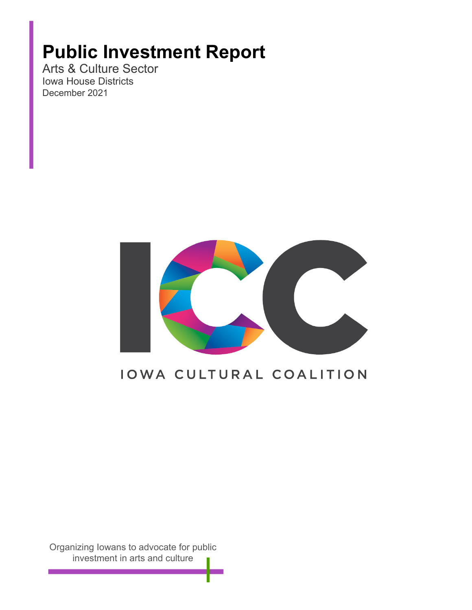# **Public Investment Report**

Arts & Culture Sector Iowa House Districts December 2021



### IOWA CULTURAL COALITION

Organizing Iowans to advocate for public investment in arts and culture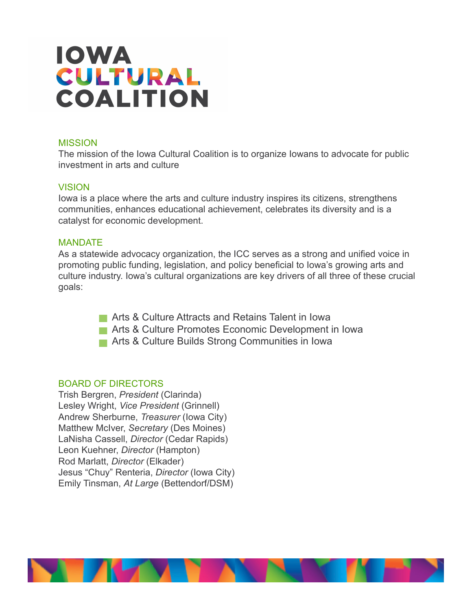#### **MISSION**

The mission of the Iowa Cultural Coalition is to organize Iowans to advocate for public investment in arts and culture

#### VISION

Iowa is a place where the arts and culture industry inspires its citizens, strengthens communities, enhances educational achievement, celebrates its diversity and is a catalyst for economic development.

#### MANDATE

As a statewide advocacy organization, the ICC serves as a strong and unified voice in promoting public funding, legislation, and policy beneficial to Iowa's growing arts and culture industry. Iowa's cultural organizations are key drivers of all three of these crucial goals:

- **Arts & Culture Attracts and Retains Talent in Iowa**
- **Arts & Culture Promotes Economic Development in Iowa**
- **Arts & Culture Builds Strong Communities in Iowa**

#### BOARD OF DIRECTORS

Trish Bergren, *President* (Clarinda) Lesley Wright, *Vice President* (Grinnell) Andrew Sherburne, *Treasurer* (Iowa City) Matthew McIver, *Secretary* (Des Moines) LaNisha Cassell, *Director* (Cedar Rapids) Leon Kuehner, *Director* (Hampton) Rod Marlatt, *Director* (Elkader) Jesus "Chuy" Renteria, *Director* (Iowa City) Emily Tinsman, *At Large* (Bettendorf/DSM)

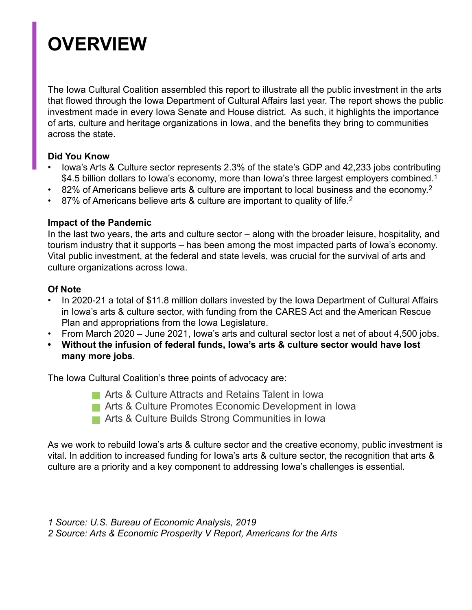# **OVERVIEW**

The Iowa Cultural Coalition assembled this report to illustrate all the public investment in the arts that flowed through the Iowa Department of Cultural Affairs last year. The report shows the public investment made in every Iowa Senate and House district. As such, it highlights the importance of arts, culture and heritage organizations in Iowa, and the benefits they bring to communities across the state.

### **Did You Know**

- Iowa's Arts & Culture sector represents 2.3% of the state's GDP and 42,233 jobs contributing \$4.5 billion dollars to Iowa's economy, more than Iowa's three largest employers combined.<sup>1</sup>
- 82% of Americans believe arts & culture are important to local business and the economy.2
- 87% of Americans believe arts & culture are important to quality of life.2

### **Impact of the Pandemic**

In the last two years, the arts and culture sector – along with the broader leisure, hospitality, and tourism industry that it supports – has been among the most impacted parts of Iowa's economy. Vital public investment, at the federal and state levels, was crucial for the survival of arts and culture organizations across Iowa.

### **Of Note**

- In 2020-21 a total of \$11.8 million dollars invested by the Iowa Department of Cultural Affairs in Iowa's arts & culture sector, with funding from the CARES Act and the American Rescue Plan and appropriations from the Iowa Legislature.
- From March 2020 June 2021, Iowa's arts and cultural sector lost a net of about 4,500 jobs.
- **• Without the infusion of federal funds, Iowa's arts & culture sector would have lost many more jobs**.

The Iowa Cultural Coalition's three points of advocacy are:

- **Arts & Culture Attracts and Retains Talent in Iowa**
- **Arts & Culture Promotes Economic Development in Iowa**
- **Arts & Culture Builds Strong Communities in Iowa**

As we work to rebuild Iowa's arts & culture sector and the creative economy, public investment is vital. In addition to increased funding for Iowa's arts & culture sector, the recognition that arts & culture are a priority and a key component to addressing Iowa's challenges is essential.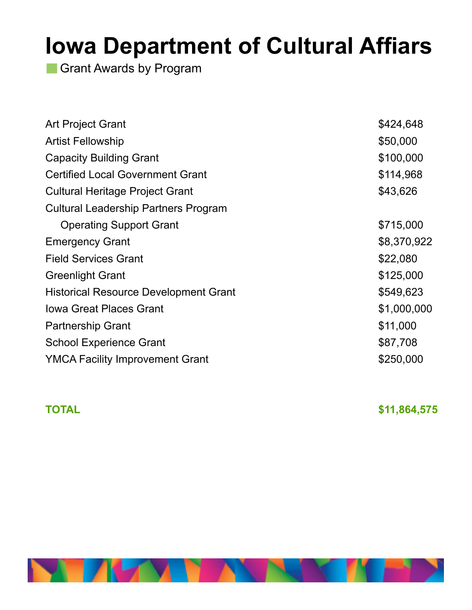Grant Awards by Program

| \$424,648   |
|-------------|
| \$50,000    |
| \$100,000   |
| \$114,968   |
| \$43,626    |
|             |
| \$715,000   |
| \$8,370,922 |
| \$22,080    |
| \$125,000   |
| \$549,623   |
| \$1,000,000 |
| \$11,000    |
| \$87,708    |
| \$250,000   |
|             |

**TOTAL** \$11,864,575

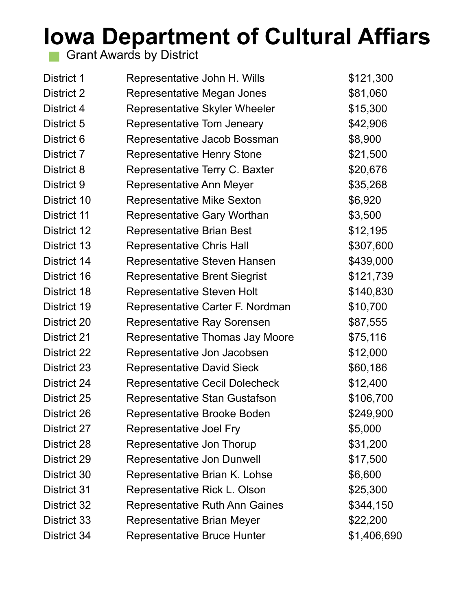Grant Awards by District

| District 1  | Representative John H. Wills          | \$121,300   |
|-------------|---------------------------------------|-------------|
| District 2  | Representative Megan Jones            | \$81,060    |
| District 4  | Representative Skyler Wheeler         | \$15,300    |
| District 5  | Representative Tom Jeneary            | \$42,906    |
| District 6  | Representative Jacob Bossman          | \$8,900     |
| District 7  | <b>Representative Henry Stone</b>     | \$21,500    |
| District 8  | Representative Terry C. Baxter        | \$20,676    |
| District 9  | Representative Ann Meyer              | \$35,268    |
| District 10 | <b>Representative Mike Sexton</b>     | \$6,920     |
| District 11 | <b>Representative Gary Worthan</b>    | \$3,500     |
| District 12 | <b>Representative Brian Best</b>      | \$12,195    |
| District 13 | <b>Representative Chris Hall</b>      | \$307,600   |
| District 14 | Representative Steven Hansen          | \$439,000   |
| District 16 | <b>Representative Brent Siegrist</b>  | \$121,739   |
| District 18 | <b>Representative Steven Holt</b>     | \$140,830   |
| District 19 | Representative Carter F. Nordman      | \$10,700    |
| District 20 | Representative Ray Sorensen           | \$87,555    |
| District 21 | Representative Thomas Jay Moore       | \$75,116    |
| District 22 | Representative Jon Jacobsen           | \$12,000    |
| District 23 | <b>Representative David Sieck</b>     | \$60,186    |
| District 24 | <b>Representative Cecil Dolecheck</b> | \$12,400    |
| District 25 | Representative Stan Gustafson         | \$106,700   |
| District 26 | Representative Brooke Boden           | \$249,900   |
| District 27 | Representative Joel Fry               | \$5,000     |
| District 28 | Representative Jon Thorup             | \$31,200    |
| District 29 | Representative Jon Dunwell            | \$17,500    |
| District 30 | Representative Brian K. Lohse         | \$6,600     |
| District 31 | Representative Rick L. Olson          | \$25,300    |
| District 32 | <b>Representative Ruth Ann Gaines</b> | \$344,150   |
| District 33 | Representative Brian Meyer            | \$22,200    |
| District 34 | <b>Representative Bruce Hunter</b>    | \$1,406,690 |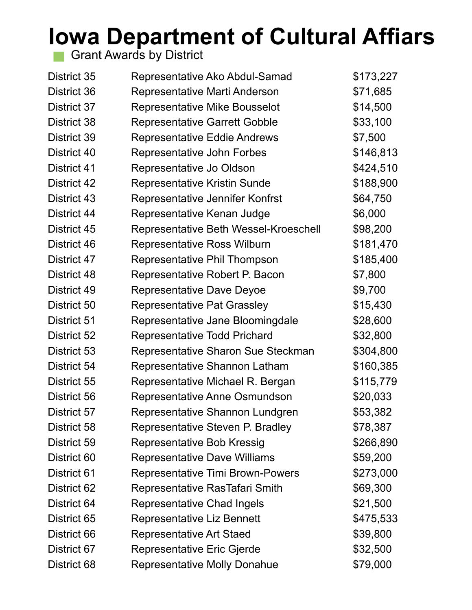Grant Awards by District

| District 35 | Representative Ako Abdul-Samad          | \$173,227 |
|-------------|-----------------------------------------|-----------|
| District 36 | Representative Marti Anderson           | \$71,685  |
| District 37 | <b>Representative Mike Bousselot</b>    | \$14,500  |
| District 38 | <b>Representative Garrett Gobble</b>    | \$33,100  |
| District 39 | Representative Eddie Andrews            | \$7,500   |
| District 40 | Representative John Forbes              | \$146,813 |
| District 41 | Representative Jo Oldson                | \$424,510 |
| District 42 | Representative Kristin Sunde            | \$188,900 |
| District 43 | Representative Jennifer Konfrst         | \$64,750  |
| District 44 | Representative Kenan Judge              | \$6,000   |
| District 45 | Representative Beth Wessel-Kroeschell   | \$98,200  |
| District 46 | <b>Representative Ross Wilburn</b>      | \$181,470 |
| District 47 | Representative Phil Thompson            | \$185,400 |
| District 48 | Representative Robert P. Bacon          | \$7,800   |
| District 49 | <b>Representative Dave Deyoe</b>        | \$9,700   |
| District 50 | <b>Representative Pat Grassley</b>      | \$15,430  |
| District 51 | Representative Jane Bloomingdale        | \$28,600  |
| District 52 | <b>Representative Todd Prichard</b>     | \$32,800  |
| District 53 | Representative Sharon Sue Steckman      | \$304,800 |
| District 54 | Representative Shannon Latham           | \$160,385 |
| District 55 | Representative Michael R. Bergan        | \$115,779 |
| District 56 | Representative Anne Osmundson           | \$20,033  |
| District 57 | Representative Shannon Lundgren         | \$53,382  |
| District 58 | Representative Steven P. Bradley        | \$78,387  |
| District 59 | Representative Bob Kressig              | \$266,890 |
| District 60 | <b>Representative Dave Williams</b>     | \$59,200  |
| District 61 | <b>Representative Timi Brown-Powers</b> | \$273,000 |
| District 62 | Representative RasTafari Smith          | \$69,300  |
| District 64 | <b>Representative Chad Ingels</b>       | \$21,500  |
| District 65 | Representative Liz Bennett              | \$475,533 |
| District 66 | <b>Representative Art Staed</b>         | \$39,800  |
| District 67 | Representative Eric Gjerde              | \$32,500  |
| District 68 | <b>Representative Molly Donahue</b>     | \$79,000  |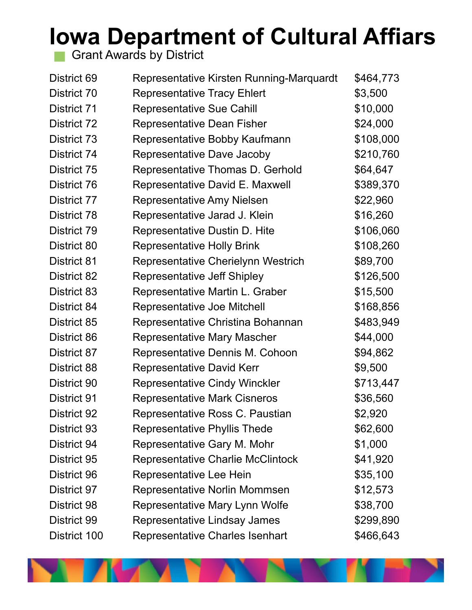Grant Awards by District

| District 69  | Representative Kirsten Running-Marquardt | \$464,773 |
|--------------|------------------------------------------|-----------|
| District 70  | <b>Representative Tracy Ehlert</b>       | \$3,500   |
| District 71  | <b>Representative Sue Cahill</b>         | \$10,000  |
| District 72  | Representative Dean Fisher               | \$24,000  |
| District 73  | Representative Bobby Kaufmann            | \$108,000 |
| District 74  | Representative Dave Jacoby               | \$210,760 |
| District 75  | Representative Thomas D. Gerhold         | \$64,647  |
| District 76  | Representative David E. Maxwell          | \$389,370 |
| District 77  | Representative Amy Nielsen               | \$22,960  |
| District 78  | Representative Jarad J. Klein            | \$16,260  |
| District 79  | Representative Dustin D. Hite            | \$106,060 |
| District 80  | <b>Representative Holly Brink</b>        | \$108,260 |
| District 81  | Representative Cherielynn Westrich       | \$89,700  |
| District 82  | Representative Jeff Shipley              | \$126,500 |
| District 83  | Representative Martin L. Graber          | \$15,500  |
| District 84  | Representative Joe Mitchell              | \$168,856 |
| District 85  | Representative Christina Bohannan        | \$483,949 |
| District 86  | <b>Representative Mary Mascher</b>       | \$44,000  |
| District 87  | Representative Dennis M. Cohoon          | \$94,862  |
| District 88  | <b>Representative David Kerr</b>         | \$9,500   |
| District 90  | <b>Representative Cindy Winckler</b>     | \$713,447 |
| District 91  | <b>Representative Mark Cisneros</b>      | \$36,560  |
| District 92  | Representative Ross C. Paustian          | \$2,920   |
| District 93  | <b>Representative Phyllis Thede</b>      | \$62,600  |
| District 94  | Representative Gary M. Mohr              | \$1,000   |
| District 95  | <b>Representative Charlie McClintock</b> | \$41,920  |
| District 96  | Representative Lee Hein                  | \$35,100  |
| District 97  | Representative Norlin Mommsen            | \$12,573  |
| District 98  | Representative Mary Lynn Wolfe           | \$38,700  |
| District 99  | Representative Lindsay James             | \$299,890 |
| District 100 | Representative Charles Isenhart          | \$466,643 |

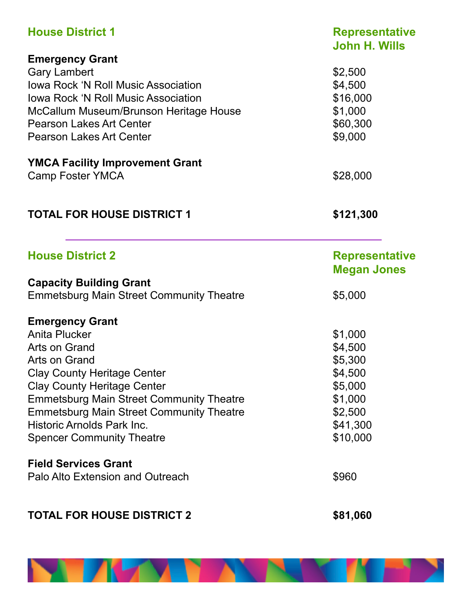| <b>House District 1</b>                         | <b>Representative</b><br><b>John H. Wills</b> |
|-------------------------------------------------|-----------------------------------------------|
| <b>Emergency Grant</b>                          |                                               |
| <b>Gary Lambert</b>                             | \$2,500                                       |
| <b>Iowa Rock 'N Roll Music Association</b>      | \$4,500                                       |
| <b>Iowa Rock 'N Roll Music Association</b>      | \$16,000                                      |
| McCallum Museum/Brunson Heritage House          | \$1,000                                       |
| Pearson Lakes Art Center                        | \$60,300                                      |
| <b>Pearson Lakes Art Center</b>                 | \$9,000                                       |
| <b>YMCA Facility Improvement Grant</b>          |                                               |
| <b>Camp Foster YMCA</b>                         | \$28,000                                      |
| <b>TOTAL FOR HOUSE DISTRICT 1</b>               | \$121,300                                     |
|                                                 |                                               |
| <b>House District 2</b>                         | <b>Representative</b>                         |
|                                                 | <b>Megan Jones</b>                            |
| <b>Capacity Building Grant</b>                  |                                               |
| <b>Emmetsburg Main Street Community Theatre</b> | \$5,000                                       |
| <b>Emergency Grant</b>                          |                                               |
| Anita Plucker                                   | \$1,000                                       |
| Arts on Grand                                   | \$4,500                                       |
| Arts on Grand                                   | \$5,300                                       |
| <b>Clay County Heritage Center</b>              | \$4,500                                       |
| <b>Clay County Heritage Center</b>              | \$5,000                                       |
| <b>Emmetsburg Main Street Community Theatre</b> | \$1,000                                       |
| <b>Emmetsburg Main Street Community Theatre</b> | \$2,500                                       |
| Historic Arnolds Park Inc.                      | \$41,300                                      |
| <b>Spencer Community Theatre</b>                | \$10,000                                      |
| <b>Field Services Grant</b>                     |                                               |
| Palo Alto Extension and Outreach                | \$960                                         |
| <b>TOTAL FOR HOUSE DISTRICT 2</b>               | \$81,060                                      |

**NEW YORK** 

'N EN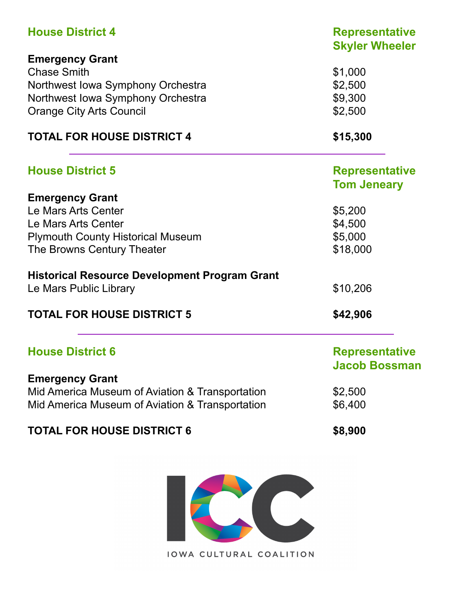| <b>House District 4</b>                              | <b>Representative</b><br><b>Skyler Wheeler</b> |
|------------------------------------------------------|------------------------------------------------|
| <b>Emergency Grant</b>                               |                                                |
| <b>Chase Smith</b>                                   | \$1,000                                        |
| Northwest Iowa Symphony Orchestra                    | \$2,500                                        |
| Northwest Iowa Symphony Orchestra                    | \$9,300                                        |
| <b>Orange City Arts Council</b>                      | \$2,500                                        |
| <b>TOTAL FOR HOUSE DISTRICT 4</b>                    | \$15,300                                       |
| <b>House District 5</b>                              | <b>Representative</b>                          |
|                                                      | <b>Tom Jeneary</b>                             |
| <b>Emergency Grant</b>                               |                                                |
| Le Mars Arts Center                                  | \$5,200                                        |
| Le Mars Arts Center                                  | \$4,500                                        |
| <b>Plymouth County Historical Museum</b>             | \$5,000                                        |
| The Browns Century Theater                           | \$18,000                                       |
| <b>Historical Resource Development Program Grant</b> |                                                |
| Le Mars Public Library                               | \$10,206                                       |
| <b>TOTAL FOR HOUSE DISTRICT 5</b>                    | \$42,906                                       |
| <b>House District 6</b>                              | <b>Representative</b><br>Jacob Bossman         |
| <b>Emergency Grant</b>                               |                                                |
| Mid America Museum of Aviation & Transportation      | \$2,500                                        |
| Mid America Museum of Aviation & Transportation      | \$6,400                                        |
| <b>TOTAL FOR HOUSE DISTRICT 6</b>                    | \$8,900                                        |

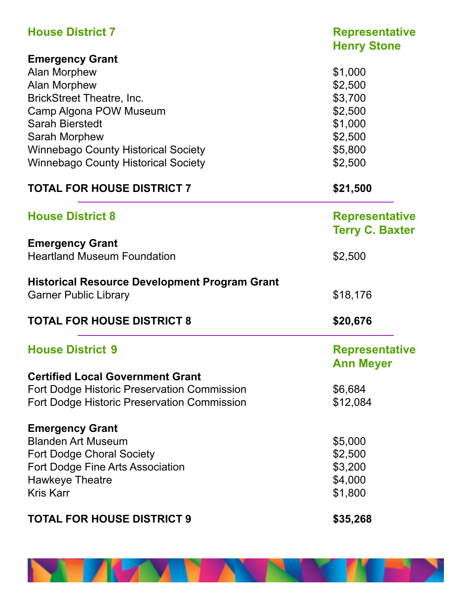| <b>House District 7</b>                              | <b>Representative</b><br><b>Henry Stone</b> |
|------------------------------------------------------|---------------------------------------------|
| <b>Emergency Grant</b>                               |                                             |
| <b>Alan Morphew</b>                                  | \$1,000                                     |
| Alan Morphew                                         | \$2,500                                     |
|                                                      |                                             |
| <b>BrickStreet Theatre, Inc.</b>                     | \$3,700                                     |
| Camp Algona POW Museum                               | \$2,500                                     |
| <b>Sarah Bierstedt</b>                               | \$1,000                                     |
| Sarah Morphew                                        | \$2,500                                     |
| <b>Winnebago County Historical Society</b>           | \$5,800                                     |
| <b>Winnebago County Historical Society</b>           | \$2,500                                     |
| <b>TOTAL FOR HOUSE DISTRICT 7</b>                    | \$21,500                                    |
| <b>House District 8</b>                              | <b>Representative</b>                       |
|                                                      | <b>Terry C. Baxter</b>                      |
| <b>Emergency Grant</b>                               |                                             |
| <b>Heartland Museum Foundation</b>                   | \$2,500                                     |
| <b>Historical Resource Development Program Grant</b> |                                             |
| <b>Garner Public Library</b>                         | \$18,176                                    |
| <b>TOTAL FOR HOUSE DISTRICT 8</b>                    | \$20,676                                    |
| <b>House District 9</b>                              | <b>Representative</b>                       |
|                                                      | <b>Ann Meyer</b>                            |
| <b>Certified Local Government Grant</b>              |                                             |
| <b>Fort Dodge Historic Preservation Commission</b>   | \$6,684                                     |
| <b>Fort Dodge Historic Preservation Commission</b>   | \$12,084                                    |
|                                                      |                                             |
| <b>Emergency Grant</b>                               |                                             |
| <b>Blanden Art Museum</b>                            | \$5,000                                     |
| <b>Fort Dodge Choral Society</b>                     | \$2,500                                     |
| <b>Fort Dodge Fine Arts Association</b>              | \$3,200                                     |
| <b>Hawkeye Theatre</b>                               | \$4,000                                     |
| <b>Kris Karr</b>                                     | \$1,800                                     |
| <b>TOTAL FOR HOUSE DISTRICT 9</b>                    | \$35,268                                    |
|                                                      |                                             |

**NEW YORK** 

'N EN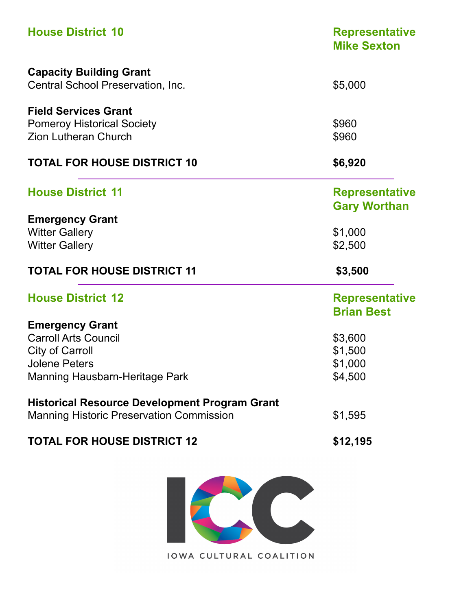| <b>House District 10</b>                             | <b>Representative</b><br><b>Mike Sexton</b> |
|------------------------------------------------------|---------------------------------------------|
| <b>Capacity Building Grant</b>                       |                                             |
| Central School Preservation, Inc.                    | \$5,000                                     |
| <b>Field Services Grant</b>                          |                                             |
| <b>Pomeroy Historical Society</b>                    | \$960                                       |
| <b>Zion Lutheran Church</b>                          | \$960                                       |
| <b>TOTAL FOR HOUSE DISTRICT 10</b>                   | \$6,920                                     |
| <b>House District 11</b>                             | <b>Representative</b>                       |
|                                                      | <b>Gary Worthan</b>                         |
| <b>Emergency Grant</b>                               |                                             |
| <b>Witter Gallery</b>                                | \$1,000                                     |
| <b>Witter Gallery</b>                                | \$2,500                                     |
| <b>TOTAL FOR HOUSE DISTRICT 11</b>                   | \$3,500                                     |
| <b>House District 12</b>                             | <b>Representative</b>                       |
|                                                      | <b>Brian Best</b>                           |
| <b>Emergency Grant</b>                               |                                             |
| <b>Carroll Arts Council</b>                          | \$3,600                                     |
| <b>City of Carroll</b>                               | \$1,500                                     |
| <b>Jolene Peters</b>                                 | \$1,000                                     |
| <b>Manning Hausbarn-Heritage Park</b>                | \$4,500                                     |
| <b>Historical Resource Development Program Grant</b> |                                             |
| <b>Manning Historic Preservation Commission</b>      | \$1,595                                     |
| <b>TOTAL FOR HOUSE DISTRICT 12</b>                   | \$12,195                                    |

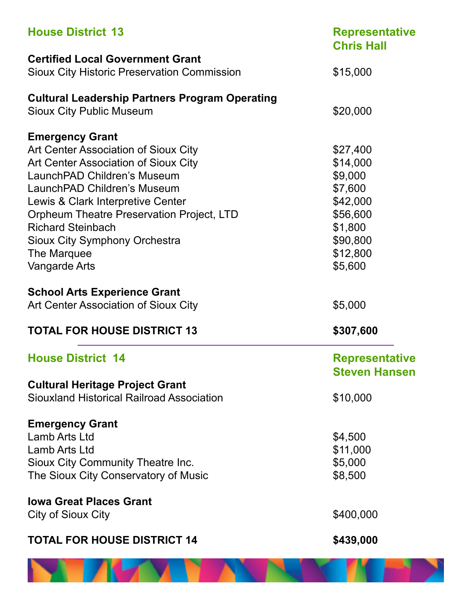| <b>House District 13</b>                              | <b>Representative</b><br><b>Chris Hall</b>    |
|-------------------------------------------------------|-----------------------------------------------|
| <b>Certified Local Government Grant</b>               |                                               |
| <b>Sioux City Historic Preservation Commission</b>    | \$15,000                                      |
| <b>Cultural Leadership Partners Program Operating</b> |                                               |
| <b>Sioux City Public Museum</b>                       | \$20,000                                      |
| <b>Emergency Grant</b>                                |                                               |
| Art Center Association of Sioux City                  | \$27,400                                      |
| Art Center Association of Sioux City                  | \$14,000                                      |
| LaunchPAD Children's Museum                           | \$9,000                                       |
| LaunchPAD Children's Museum                           | \$7,600                                       |
| Lewis & Clark Interpretive Center                     | \$42,000                                      |
| Orpheum Theatre Preservation Project, LTD             | \$56,600                                      |
| <b>Richard Steinbach</b>                              | \$1,800                                       |
| Sioux City Symphony Orchestra                         | \$90,800                                      |
| The Marquee                                           | \$12,800                                      |
| Vangarde Arts                                         | \$5,600                                       |
| <b>School Arts Experience Grant</b>                   |                                               |
| Art Center Association of Sioux City                  | \$5,000                                       |
| <b>TOTAL FOR HOUSE DISTRICT 13</b>                    | \$307,600                                     |
| <b>House District 14</b>                              | <b>Representative</b><br><b>Steven Hansen</b> |
| <b>Cultural Heritage Project Grant</b>                |                                               |
| Siouxland Historical Railroad Association             | \$10,000                                      |
| <b>Emergency Grant</b>                                |                                               |
| Lamb Arts Ltd                                         | \$4,500                                       |
| Lamb Arts Ltd                                         | \$11,000                                      |
| Sioux City Community Theatre Inc.                     | \$5,000                                       |
| The Sioux City Conservatory of Music                  | \$8,500                                       |
| <b>Iowa Great Places Grant</b>                        |                                               |
| City of Sioux City                                    | \$400,000                                     |
| <b>TOTAL FOR HOUSE DISTRICT 14</b>                    | \$439,000                                     |
|                                                       |                                               |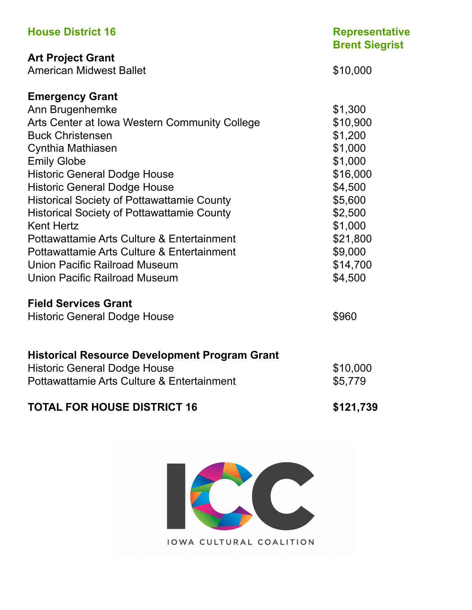| <b>House District 16</b>                             | <b>Representative</b><br><b>Brent Siegrist</b> |
|------------------------------------------------------|------------------------------------------------|
| <b>Art Project Grant</b>                             |                                                |
| <b>American Midwest Ballet</b>                       | \$10,000                                       |
| <b>Emergency Grant</b>                               |                                                |
| Ann Brugenhemke                                      | \$1,300                                        |
| Arts Center at Iowa Western Community College        | \$10,900                                       |
| <b>Buck Christensen</b>                              | \$1,200                                        |
| Cynthia Mathiasen                                    | \$1,000                                        |
| <b>Emily Globe</b>                                   | \$1,000                                        |
| <b>Historic General Dodge House</b>                  | \$16,000                                       |
| <b>Historic General Dodge House</b>                  | \$4,500                                        |
| <b>Historical Society of Pottawattamie County</b>    | \$5,600                                        |
| <b>Historical Society of Pottawattamie County</b>    | \$2,500                                        |
| <b>Kent Hertz</b>                                    | \$1,000                                        |
| Pottawattamie Arts Culture & Entertainment           | \$21,800                                       |
| Pottawattamie Arts Culture & Entertainment           | \$9,000                                        |
| Union Pacific Railroad Museum                        | \$14,700                                       |
| <b>Union Pacific Railroad Museum</b>                 | \$4,500                                        |
| <b>Field Services Grant</b>                          |                                                |
| <b>Historic General Dodge House</b>                  | \$960                                          |
| <b>Historical Resource Development Program Grant</b> |                                                |
| <b>Historic General Dodge House</b>                  | \$10,000                                       |
| Pottawattamie Arts Culture & Entertainment           | \$5,779                                        |
|                                                      |                                                |
| <b>TOTAL FOR HOUSE DISTRICT 16</b>                   | \$121,739                                      |

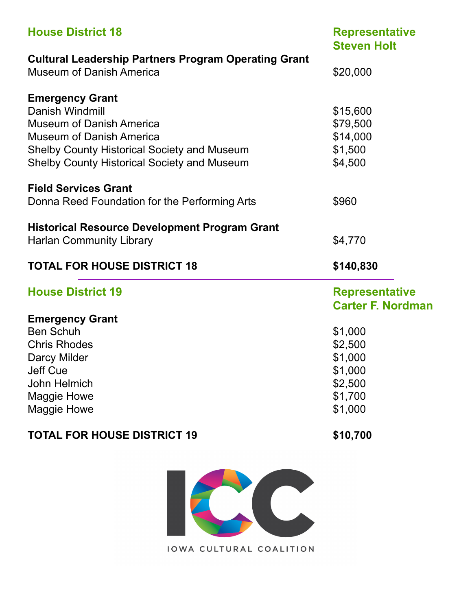| <b>House District 18</b>                                                                       | <b>Representative</b><br><b>Steven Holt</b> |
|------------------------------------------------------------------------------------------------|---------------------------------------------|
| <b>Cultural Leadership Partners Program Operating Grant</b><br><b>Museum of Danish America</b> | \$20,000                                    |
| <b>Emergency Grant</b>                                                                         |                                             |
| Danish Windmill                                                                                | \$15,600                                    |
| <b>Museum of Danish America</b>                                                                | \$79,500                                    |
| <b>Museum of Danish America</b>                                                                | \$14,000                                    |
| <b>Shelby County Historical Society and Museum</b>                                             | \$1,500                                     |
| <b>Shelby County Historical Society and Museum</b>                                             | \$4,500                                     |
| <b>Field Services Grant</b>                                                                    |                                             |
| Donna Reed Foundation for the Performing Arts                                                  | \$960                                       |
| <b>Historical Resource Development Program Grant</b>                                           |                                             |
| <b>Harlan Community Library</b>                                                                | \$4,770                                     |
| <b>TOTAL FOR HOUSE DISTRICT 18</b>                                                             | \$140,830                                   |
| <b>House District 19</b>                                                                       | <b>Representative</b>                       |
|                                                                                                | <b>Carter F. Nordman</b>                    |
| <b>Emergency Grant</b>                                                                         |                                             |
| <b>Ben Schuh</b>                                                                               | \$1,000                                     |
| <b>Chris Rhodes</b>                                                                            | \$2,500                                     |
| Darcy Milder                                                                                   | \$1,000                                     |
| <b>Jeff Cue</b>                                                                                | \$1,000                                     |
| John Helmich                                                                                   | \$2,500                                     |
| <b>Maggie Howe</b>                                                                             | \$1,700                                     |
| <b>Maggie Howe</b>                                                                             | \$1,000                                     |

### **TOTAL FOR HOUSE DISTRICT 19** \$10,700

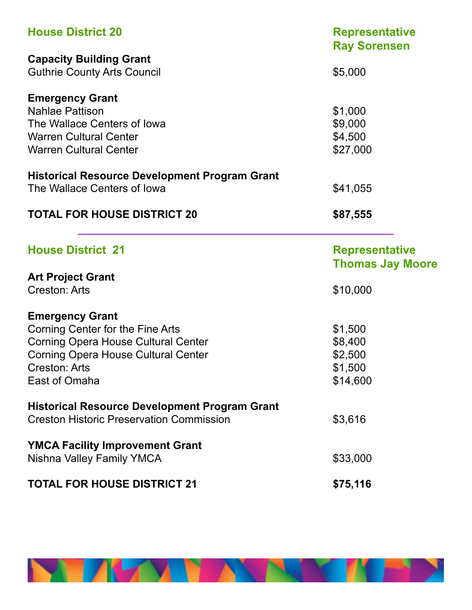| <b>House District 20</b>                                                                                | <b>Representative</b><br><b>Ray Sorensen</b> |
|---------------------------------------------------------------------------------------------------------|----------------------------------------------|
| <b>Capacity Building Grant</b>                                                                          |                                              |
| <b>Guthrie County Arts Council</b>                                                                      | \$5,000                                      |
| <b>Emergency Grant</b>                                                                                  |                                              |
| <b>Nahlae Pattison</b>                                                                                  | \$1,000                                      |
| The Wallace Centers of Iowa                                                                             | \$9,000                                      |
| <b>Warren Cultural Center</b>                                                                           | \$4,500                                      |
| <b>Warren Cultural Center</b>                                                                           | \$27,000                                     |
| <b>Historical Resource Development Program Grant</b>                                                    |                                              |
| The Wallace Centers of Iowa                                                                             | \$41,055                                     |
| <b>TOTAL FOR HOUSE DISTRICT 20</b>                                                                      | \$87,555                                     |
| <b>House District 21</b>                                                                                | <b>Representative</b>                        |
|                                                                                                         |                                              |
|                                                                                                         | <b>Thomas Jay Moore</b>                      |
| <b>Art Project Grant</b>                                                                                |                                              |
| <b>Creston: Arts</b>                                                                                    | \$10,000                                     |
| <b>Emergency Grant</b>                                                                                  |                                              |
| Corning Center for the Fine Arts                                                                        | \$1,500                                      |
| <b>Corning Opera House Cultural Center</b>                                                              | \$8,400                                      |
| <b>Corning Opera House Cultural Center</b>                                                              | \$2,500                                      |
| Creston: Arts                                                                                           | \$1,500                                      |
| East of Omaha                                                                                           | \$14,600                                     |
|                                                                                                         |                                              |
| <b>Historical Resource Development Program Grant</b><br><b>Creston Historic Preservation Commission</b> | \$3,616                                      |
|                                                                                                         |                                              |
| <b>YMCA Facility Improvement Grant</b><br>Nishna Valley Family YMCA                                     | \$33,000                                     |

**NEW YORK** 

**THE PERSON**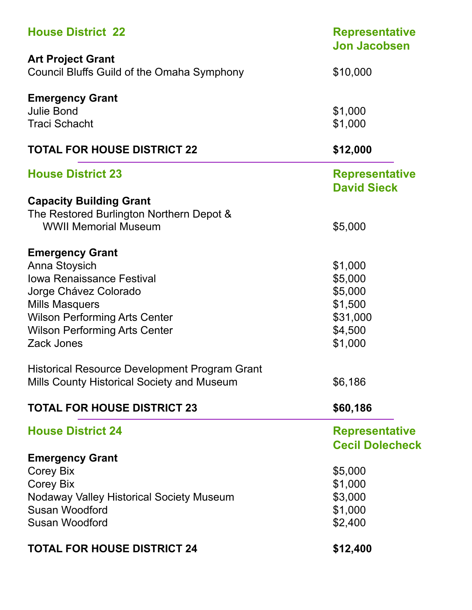| <b>House District 22</b>                                               | <b>Representative</b><br><b>Jon Jacobsen</b> |
|------------------------------------------------------------------------|----------------------------------------------|
| <b>Art Project Grant</b><br>Council Bluffs Guild of the Omaha Symphony | \$10,000                                     |
| <b>Emergency Grant</b>                                                 |                                              |
| <b>Julie Bond</b>                                                      | \$1,000                                      |
| <b>Traci Schacht</b>                                                   | \$1,000                                      |
| <b>TOTAL FOR HOUSE DISTRICT 22</b>                                     | \$12,000                                     |
| <b>House District 23</b>                                               | <b>Representative</b><br><b>David Sieck</b>  |
| <b>Capacity Building Grant</b>                                         |                                              |
| The Restored Burlington Northern Depot &                               |                                              |
| <b>WWII Memorial Museum</b>                                            | \$5,000                                      |
| <b>Emergency Grant</b>                                                 |                                              |
| Anna Stoysich                                                          | \$1,000                                      |
| <b>Iowa Renaissance Festival</b>                                       | \$5,000                                      |
| Jorge Chávez Colorado                                                  | \$5,000                                      |
| <b>Mills Masquers</b>                                                  | \$1,500                                      |
| <b>Wilson Performing Arts Center</b>                                   | \$31,000                                     |
| <b>Wilson Performing Arts Center</b>                                   | \$4,500                                      |
| Zack Jones                                                             | \$1,000                                      |
| <b>Historical Resource Development Program Grant</b>                   |                                              |
| Mills County Historical Society and Museum                             | \$6,186                                      |
| <b>TOTAL FOR HOUSE DISTRICT 23</b>                                     | \$60,186                                     |
| <b>House District 24</b>                                               | <b>Representative</b>                        |
|                                                                        | <b>Cecil Dolecheck</b>                       |
| <b>Emergency Grant</b>                                                 |                                              |
| Corey Bix                                                              | \$5,000                                      |
| <b>Corey Bix</b>                                                       | \$1,000                                      |
| Nodaway Valley Historical Society Museum                               | \$3,000                                      |
| Susan Woodford                                                         | \$1,000                                      |
| Susan Woodford                                                         | \$2,400                                      |
| <b>TOTAL FOR HOUSE DISTRICT 24</b>                                     | \$12,400                                     |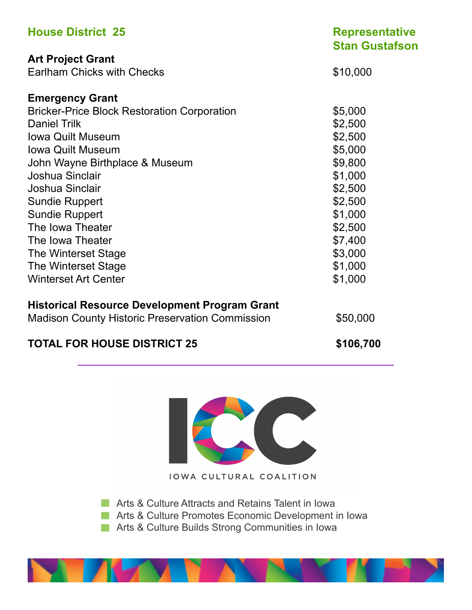| <b>House District 25</b>                               | <b>Representative</b><br><b>Stan Gustafson</b> |
|--------------------------------------------------------|------------------------------------------------|
| <b>Art Project Grant</b>                               |                                                |
| <b>Earlham Chicks with Checks</b>                      | \$10,000                                       |
| <b>Emergency Grant</b>                                 |                                                |
| <b>Bricker-Price Block Restoration Corporation</b>     | \$5,000                                        |
| <b>Daniel Trilk</b>                                    | \$2,500                                        |
| <b>Iowa Quilt Museum</b>                               | \$2,500                                        |
| <b>Iowa Quilt Museum</b>                               | \$5,000                                        |
| John Wayne Birthplace & Museum                         | \$9,800                                        |
| Joshua Sinclair                                        | \$1,000                                        |
| Joshua Sinclair                                        | \$2,500                                        |
| <b>Sundie Ruppert</b>                                  | \$2,500                                        |
| <b>Sundie Ruppert</b>                                  | \$1,000                                        |
| The Iowa Theater                                       | \$2,500                                        |
| The Iowa Theater                                       | \$7,400                                        |
| The Winterset Stage                                    | \$3,000                                        |
| The Winterset Stage                                    | \$1,000                                        |
| <b>Winterset Art Center</b>                            | \$1,000                                        |
| <b>Historical Resource Development Program Grant</b>   |                                                |
| <b>Madison County Historic Preservation Commission</b> | \$50,000                                       |
| <b>TOTAL FOR HOUSE DISTRICT 25</b>                     | \$106,700                                      |



**Arts & Culture Attracts and Retains Talent in Iowa** 

**Arts & Culture Promotes Economic Development in Iowa** 

**Arts & Culture Builds Strong Communities in Iowa** 

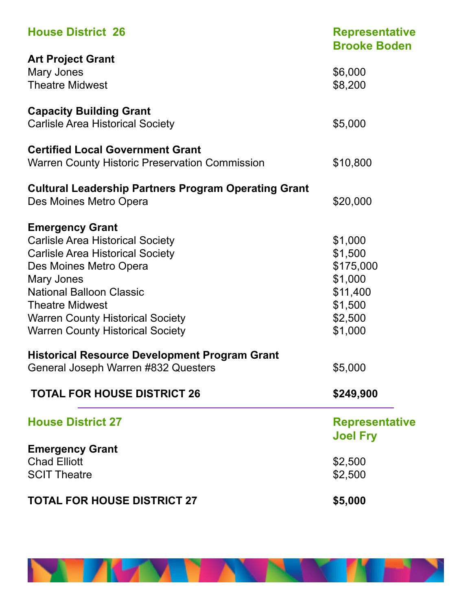| <b>House District 26</b>                                    | <b>Representative</b><br><b>Brooke Boden</b> |
|-------------------------------------------------------------|----------------------------------------------|
| <b>Art Project Grant</b>                                    |                                              |
| Mary Jones                                                  | \$6,000                                      |
| <b>Theatre Midwest</b>                                      | \$8,200                                      |
| <b>Capacity Building Grant</b>                              |                                              |
| <b>Carlisle Area Historical Society</b>                     | \$5,000                                      |
| <b>Certified Local Government Grant</b>                     |                                              |
| <b>Warren County Historic Preservation Commission</b>       | \$10,800                                     |
| <b>Cultural Leadership Partners Program Operating Grant</b> |                                              |
| Des Moines Metro Opera                                      | \$20,000                                     |
| <b>Emergency Grant</b>                                      |                                              |
| <b>Carlisle Area Historical Society</b>                     | \$1,000                                      |
| <b>Carlisle Area Historical Society</b>                     | \$1,500                                      |
| Des Moines Metro Opera                                      | \$175,000                                    |
| Mary Jones                                                  | \$1,000                                      |
| <b>National Balloon Classic</b>                             | \$11,400                                     |
| <b>Theatre Midwest</b>                                      | \$1,500                                      |
| <b>Warren County Historical Society</b>                     | \$2,500                                      |
| <b>Warren County Historical Society</b>                     | \$1,000                                      |
| <b>Historical Resource Development Program Grant</b>        |                                              |
| General Joseph Warren #832 Questers                         | \$5,000                                      |
| <b>TOTAL FOR HOUSE DISTRICT 26</b>                          | \$249,900                                    |
| <b>House District 27</b>                                    | <b>Representative</b>                        |
|                                                             | <b>Joel Fry</b>                              |
| <b>Emergency Grant</b>                                      |                                              |
| <b>Chad Elliott</b>                                         | \$2,500                                      |
| <b>SCIT Theatre</b>                                         | \$2,500                                      |
| <b>TOTAL FOR HOUSE DISTRICT 27</b>                          | \$5,000                                      |

**NEW YORK** 

'N EN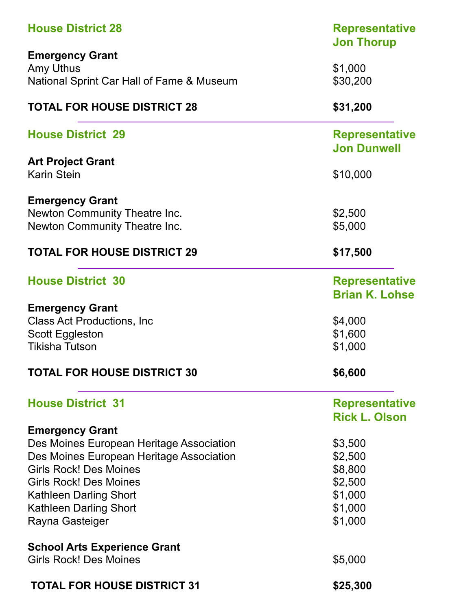| <b>House District 28</b>                  | <b>Representative</b><br><b>Jon Thorup</b> |
|-------------------------------------------|--------------------------------------------|
| <b>Emergency Grant</b>                    |                                            |
| Amy Uthus                                 | \$1,000                                    |
| National Sprint Car Hall of Fame & Museum | \$30,200                                   |
| <b>TOTAL FOR HOUSE DISTRICT 28</b>        | \$31,200                                   |
| <b>House District 29</b>                  | <b>Representative</b>                      |
|                                           | <b>Jon Dunwell</b>                         |
| <b>Art Project Grant</b>                  |                                            |
| <b>Karin Stein</b>                        | \$10,000                                   |
| <b>Emergency Grant</b>                    |                                            |
| Newton Community Theatre Inc.             | \$2,500                                    |
| <b>Newton Community Theatre Inc.</b>      | \$5,000                                    |
| <b>TOTAL FOR HOUSE DISTRICT 29</b>        | \$17,500                                   |
| <b>House District 30</b>                  | <b>Representative</b>                      |
|                                           | <b>Brian K. Lohse</b>                      |
| <b>Emergency Grant</b>                    |                                            |
| <b>Class Act Productions, Inc.</b>        | \$4,000                                    |
| Scott Eggleston                           | \$1,600                                    |
| <b>Tikisha Tutson</b>                     | \$1,000                                    |
| <b>TOTAL FOR HOUSE DISTRICT 30</b>        | \$6,600                                    |
| <b>House District 31</b>                  | <b>Representative</b>                      |
|                                           | <b>Rick L. Olson</b>                       |
| <b>Emergency Grant</b>                    |                                            |
| Des Moines European Heritage Association  | \$3,500                                    |
| Des Moines European Heritage Association  | \$2,500                                    |
| <b>Girls Rock! Des Moines</b>             | \$8,800                                    |
| <b>Girls Rock! Des Moines</b>             | \$2,500                                    |
| <b>Kathleen Darling Short</b>             | \$1,000                                    |
| Kathleen Darling Short                    | \$1,000                                    |
| Rayna Gasteiger                           | \$1,000                                    |
| <b>School Arts Experience Grant</b>       |                                            |
| <b>Girls Rock! Des Moines</b>             | \$5,000                                    |
| <b>TOTAL FOR HOUSE DISTRICT 31</b>        | \$25,300                                   |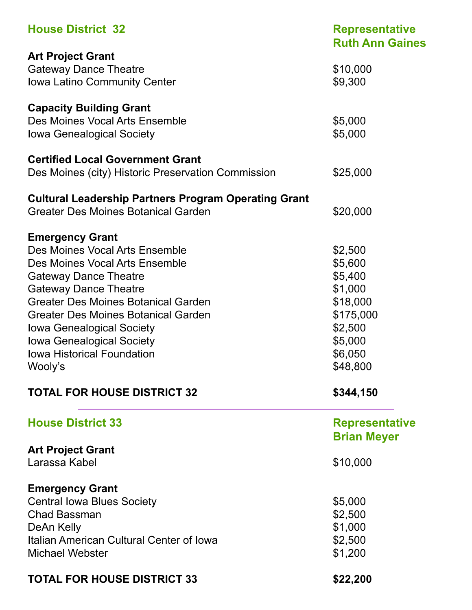| <b>House District 32</b>                                                       | <b>Representative</b><br><b>Ruth Ann Gaines</b> |  |
|--------------------------------------------------------------------------------|-------------------------------------------------|--|
| <b>Art Project Grant</b>                                                       |                                                 |  |
| <b>Gateway Dance Theatre</b>                                                   | \$10,000                                        |  |
| <b>Iowa Latino Community Center</b>                                            | \$9,300                                         |  |
| <b>Capacity Building Grant</b>                                                 |                                                 |  |
| Des Moines Vocal Arts Ensemble                                                 | \$5,000                                         |  |
| <b>Iowa Genealogical Society</b>                                               | \$5,000                                         |  |
| <b>Certified Local Government Grant</b>                                        |                                                 |  |
| Des Moines (city) Historic Preservation Commission                             | \$25,000                                        |  |
| <b>Cultural Leadership Partners Program Operating Grant</b>                    |                                                 |  |
| <b>Greater Des Moines Botanical Garden</b>                                     | \$20,000                                        |  |
| <b>Emergency Grant</b>                                                         |                                                 |  |
| Des Moines Vocal Arts Ensemble                                                 | \$2,500                                         |  |
| Des Moines Vocal Arts Ensemble                                                 | \$5,600                                         |  |
| <b>Gateway Dance Theatre</b>                                                   | \$5,400                                         |  |
| <b>Gateway Dance Theatre</b>                                                   | \$1,000                                         |  |
| Greater Des Moines Botanical Garden                                            | \$18,000                                        |  |
| <b>Greater Des Moines Botanical Garden</b><br><b>Iowa Genealogical Society</b> | \$175,000<br>\$2,500                            |  |
| <b>Iowa Genealogical Society</b>                                               | \$5,000                                         |  |
| <b>Iowa Historical Foundation</b>                                              | \$6,050                                         |  |
| Wooly's                                                                        | \$48,800                                        |  |
|                                                                                |                                                 |  |
| <b>TOTAL FOR HOUSE DISTRICT 32</b>                                             | \$344,150                                       |  |
| <b>House District 33</b>                                                       | <b>Representative</b>                           |  |
|                                                                                | <b>Brian Meyer</b>                              |  |
| <b>Art Project Grant</b>                                                       |                                                 |  |
| Larassa Kabel                                                                  | \$10,000                                        |  |
| <b>Emergency Grant</b>                                                         |                                                 |  |
| <b>Central Iowa Blues Society</b>                                              | \$5,000                                         |  |
| <b>Chad Bassman</b>                                                            | \$2,500                                         |  |
| DeAn Kelly                                                                     | \$1,000                                         |  |
| Italian American Cultural Center of Iowa                                       | \$2,500                                         |  |
| <b>Michael Webster</b>                                                         | \$1,200                                         |  |
| <b>TOTAL FOR HOUSE DISTRICT 33</b>                                             | \$22,200                                        |  |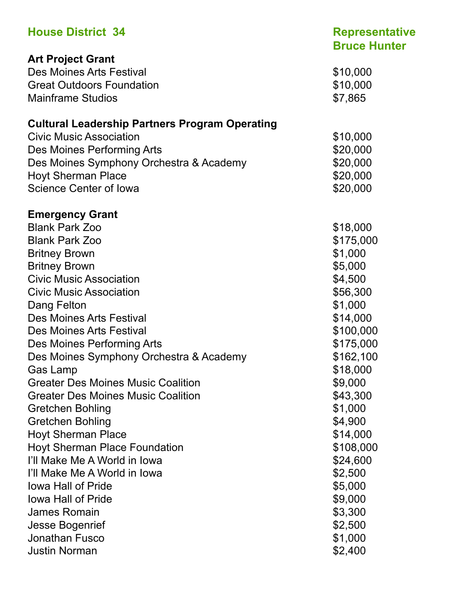| <b>House District 34</b>                              | <b>Representative</b><br><b>Bruce Hunter</b> |
|-------------------------------------------------------|----------------------------------------------|
| <b>Art Project Grant</b>                              |                                              |
| Des Moines Arts Festival                              | \$10,000                                     |
| <b>Great Outdoors Foundation</b>                      | \$10,000                                     |
| <b>Mainframe Studios</b>                              | \$7,865                                      |
| <b>Cultural Leadership Partners Program Operating</b> |                                              |
| <b>Civic Music Association</b>                        | \$10,000                                     |
| Des Moines Performing Arts                            | \$20,000                                     |
| Des Moines Symphony Orchestra & Academy               | \$20,000                                     |
| <b>Hoyt Sherman Place</b>                             | \$20,000                                     |
| Science Center of Iowa                                | \$20,000                                     |
| <b>Emergency Grant</b>                                |                                              |
| <b>Blank Park Zoo</b>                                 | \$18,000                                     |
| <b>Blank Park Zoo</b>                                 | \$175,000                                    |
| <b>Britney Brown</b>                                  | \$1,000                                      |
| <b>Britney Brown</b>                                  | \$5,000                                      |
| <b>Civic Music Association</b>                        | \$4,500                                      |
| <b>Civic Music Association</b>                        | \$56,300                                     |
|                                                       | \$1,000                                      |
| Dang Felton<br>Des Moines Arts Festival               |                                              |
| Des Moines Arts Festival                              | \$14,000<br>\$100,000                        |
|                                                       |                                              |
| Des Moines Performing Arts                            | \$175,000                                    |
| Des Moines Symphony Orchestra & Academy               | \$162,100                                    |
| Gas Lamp                                              | \$18,000                                     |
| <b>Greater Des Moines Music Coalition</b>             | \$9,000                                      |
| <b>Greater Des Moines Music Coalition</b>             | \$43,300                                     |
| Gretchen Bohling                                      | \$1,000                                      |
| Gretchen Bohling                                      | \$4,900                                      |
| <b>Hoyt Sherman Place</b>                             | \$14,000                                     |
| Hoyt Sherman Place Foundation                         | \$108,000                                    |
| I'll Make Me A World in Iowa                          | \$24,600                                     |
| I'll Make Me A World in Iowa                          | \$2,500                                      |
| lowa Hall of Pride                                    | \$5,000                                      |
| lowa Hall of Pride                                    | \$9,000                                      |
| James Romain                                          | \$3,300                                      |
| <b>Jesse Bogenrief</b>                                | \$2,500                                      |
| <b>Jonathan Fusco</b>                                 | \$1,000                                      |
| <b>Justin Norman</b>                                  | \$2,400                                      |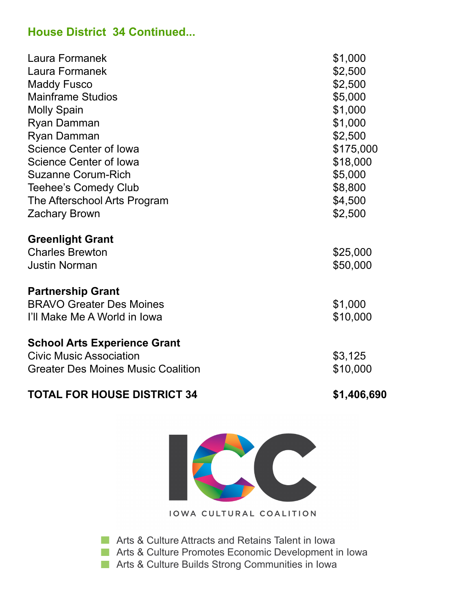### **House District 34 Continued...**

| Laura Formanek                                                                                                     | \$1,000              |
|--------------------------------------------------------------------------------------------------------------------|----------------------|
| Laura Formanek                                                                                                     | \$2,500              |
| <b>Maddy Fusco</b>                                                                                                 | \$2,500              |
| <b>Mainframe Studios</b>                                                                                           | \$5,000              |
| <b>Molly Spain</b>                                                                                                 | \$1,000              |
| Ryan Damman                                                                                                        | \$1,000              |
| <b>Ryan Damman</b>                                                                                                 | \$2,500              |
| <b>Science Center of lowa</b>                                                                                      | \$175,000            |
| <b>Science Center of lowa</b>                                                                                      | \$18,000             |
| <b>Suzanne Corum-Rich</b>                                                                                          | \$5,000              |
| <b>Teehee's Comedy Club</b>                                                                                        | \$8,800              |
| The Afterschool Arts Program                                                                                       | \$4,500              |
| <b>Zachary Brown</b>                                                                                               | \$2,500              |
| <b>Greenlight Grant</b><br><b>Charles Brewton</b><br><b>Justin Norman</b><br><b>Partnership Grant</b>              | \$25,000<br>\$50,000 |
| <b>BRAVO Greater Des Moines</b>                                                                                    | \$1,000              |
| I'll Make Me A World in Iowa                                                                                       | \$10,000             |
| <b>School Arts Experience Grant</b><br><b>Civic Music Association</b><br><b>Greater Des Moines Music Coalition</b> | \$3,125<br>\$10,000  |

## TOTAL FOR HOUSE DISTRICT 34 \$1,406,690



**IOWA CULTURAL COALITION** 

**Arts & Culture Attracts and Retains Talent in Iowa** 

**Arts & Culture Promotes Economic Development in Iowa** 

**Arts & Culture Builds Strong Communities in Iowa**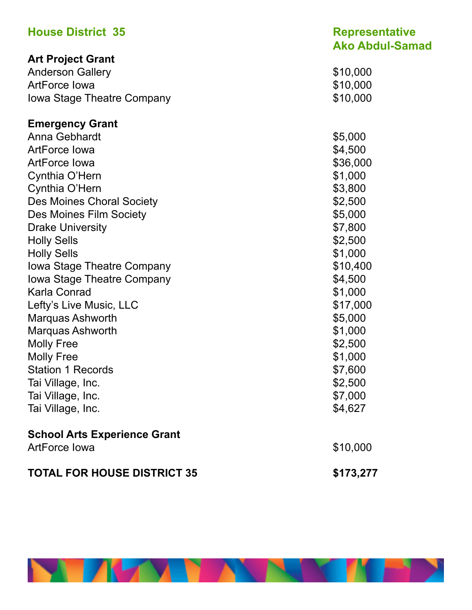| <b>House District 35</b>            | <b>Representative</b><br><b>Ako Abdul-Samad</b> |
|-------------------------------------|-------------------------------------------------|
| <b>Art Project Grant</b>            |                                                 |
| <b>Anderson Gallery</b>             | \$10,000                                        |
| <b>ArtForce lowa</b>                | \$10,000                                        |
| <b>Iowa Stage Theatre Company</b>   | \$10,000                                        |
| <b>Emergency Grant</b>              |                                                 |
| Anna Gebhardt                       | \$5,000                                         |
| <b>ArtForce lowa</b>                | \$4,500                                         |
| <b>ArtForce lowa</b>                | \$36,000                                        |
| Cynthia O'Hern                      | \$1,000                                         |
| Cynthia O'Hern                      | \$3,800                                         |
| <b>Des Moines Choral Society</b>    | \$2,500                                         |
| Des Moines Film Society             | \$5,000                                         |
| <b>Drake University</b>             | \$7,800                                         |
| <b>Holly Sells</b>                  | \$2,500                                         |
| <b>Holly Sells</b>                  | \$1,000                                         |
| Iowa Stage Theatre Company          | \$10,400                                        |
| Iowa Stage Theatre Company          | \$4,500                                         |
| Karla Conrad                        | \$1,000                                         |
| Lefty's Live Music, LLC             | \$17,000                                        |
| Marquas Ashworth                    | \$5,000                                         |
| Marquas Ashworth                    | \$1,000                                         |
| <b>Molly Free</b>                   | \$2,500                                         |
| <b>Molly Free</b>                   | \$1,000                                         |
| <b>Station 1 Records</b>            | \$7,600                                         |
| Tai Village, Inc.                   | \$2,500                                         |
| Tai Village, Inc.                   | \$7,000                                         |
| Tai Village, Inc.                   | \$4,627                                         |
| <b>School Arts Experience Grant</b> |                                                 |
| <b>ArtForce lowa</b>                | \$10,000                                        |
| <b>TOTAL FOR HOUSE DISTRICT 35</b>  | \$173,277                                       |

**TEP** 

W

**NIKAY NAMA**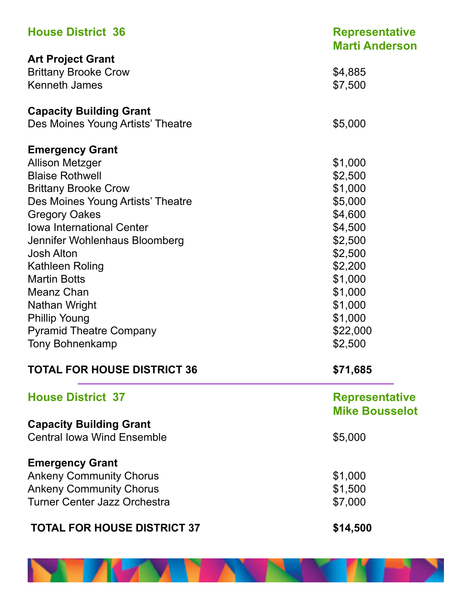| <b>House District 36</b>           | <b>Representative</b><br><b>Marti Anderson</b> |
|------------------------------------|------------------------------------------------|
| <b>Art Project Grant</b>           |                                                |
| <b>Brittany Brooke Crow</b>        | \$4,885                                        |
| <b>Kenneth James</b>               | \$7,500                                        |
| <b>Capacity Building Grant</b>     |                                                |
| Des Moines Young Artists' Theatre  | \$5,000                                        |
| <b>Emergency Grant</b>             |                                                |
| <b>Allison Metzger</b>             | \$1,000                                        |
| <b>Blaise Rothwell</b>             | \$2,500                                        |
| <b>Brittany Brooke Crow</b>        | \$1,000                                        |
| Des Moines Young Artists' Theatre  | \$5,000                                        |
| <b>Gregory Oakes</b>               | \$4,600                                        |
| Iowa International Center          | \$4,500                                        |
| Jennifer Wohlenhaus Bloomberg      | \$2,500                                        |
| <b>Josh Alton</b>                  | \$2,500                                        |
| Kathleen Roling                    | \$2,200                                        |
| <b>Martin Botts</b>                | \$1,000                                        |
| Meanz Chan                         | \$1,000                                        |
| Nathan Wright                      | \$1,000                                        |
| <b>Phillip Young</b>               | \$1,000                                        |
| <b>Pyramid Theatre Company</b>     | \$22,000                                       |
| Tony Bohnenkamp                    | \$2,500                                        |
| <b>TOTAL FOR HOUSE DISTRICT 36</b> | \$71,685                                       |
| <b>House District 37</b>           | <b>Representative</b>                          |
|                                    | <b>Mike Bousselot</b>                          |
| <b>Capacity Building Grant</b>     |                                                |
| <b>Central lowa Wind Ensemble</b>  | \$5,000                                        |
| <b>Emergency Grant</b>             |                                                |
| <b>Ankeny Community Chorus</b>     | \$1,000                                        |
| <b>Ankeny Community Chorus</b>     | \$1,500                                        |
| Turner Center Jazz Orchestra       | \$7,000                                        |
| <b>TOTAL FOR HOUSE DISTRICT 37</b> | \$14,500                                       |

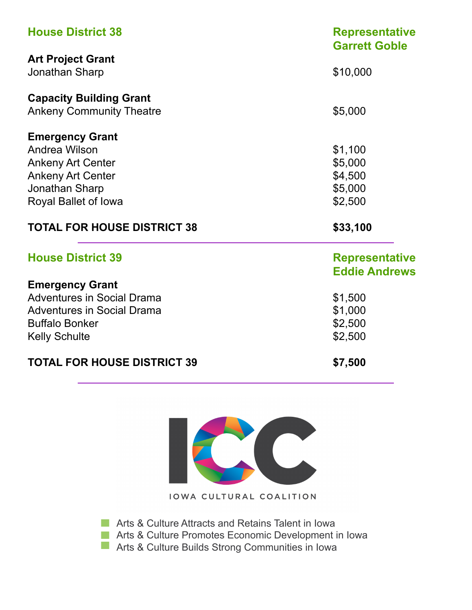| <b>House District 38</b>           | <b>Representative</b><br><b>Garrett Goble</b> |  |
|------------------------------------|-----------------------------------------------|--|
| <b>Art Project Grant</b>           |                                               |  |
| Jonathan Sharp                     | \$10,000                                      |  |
| <b>Capacity Building Grant</b>     |                                               |  |
| <b>Ankeny Community Theatre</b>    | \$5,000                                       |  |
| <b>Emergency Grant</b>             |                                               |  |
| Andrea Wilson                      | \$1,100                                       |  |
| <b>Ankeny Art Center</b>           | \$5,000                                       |  |
| <b>Ankeny Art Center</b>           | \$4,500                                       |  |
| Jonathan Sharp                     | \$5,000                                       |  |
| Royal Ballet of Iowa               | \$2,500                                       |  |
| <b>TOTAL FOR HOUSE DISTRICT 38</b> | \$33,100                                      |  |
| <b>House District 39</b>           | <b>Representative</b>                         |  |
|                                    | <b>Eddie Andrews</b>                          |  |
| <b>Emergency Grant</b>             |                                               |  |
| <b>Adventures in Social Drama</b>  | \$1,500                                       |  |
| <b>Adventures in Social Drama</b>  | \$1,000                                       |  |
| <b>Buffalo Bonker</b>              | \$2,500                                       |  |
| <b>Kelly Schulte</b>               | \$2,500                                       |  |
| <b>TOTAL FOR HOUSE DISTRICT 39</b> | \$7,500                                       |  |



**Arts & Culture Attracts and Retains Talent in Iowa** 

**Arts & Culture Promotes Economic Development in Iowa** 

**Arts & Culture Builds Strong Communities in Iowa**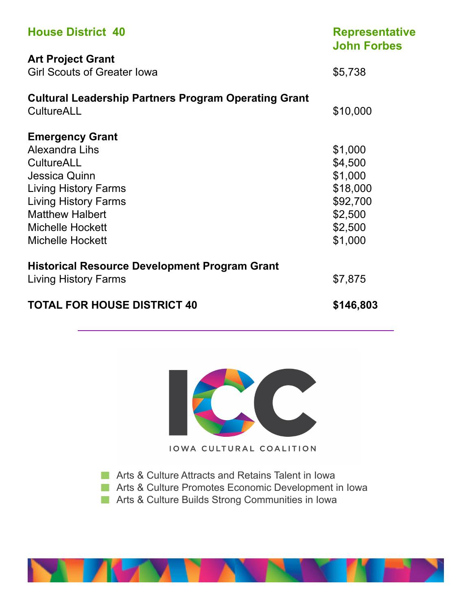| <b>House District 40</b>                                                                                                                                                                                              | <b>Representative</b><br><b>John Forbes</b>                                            |
|-----------------------------------------------------------------------------------------------------------------------------------------------------------------------------------------------------------------------|----------------------------------------------------------------------------------------|
| <b>Art Project Grant</b><br><b>Girl Scouts of Greater Iowa</b>                                                                                                                                                        | \$5,738                                                                                |
| <b>Cultural Leadership Partners Program Operating Grant</b><br><b>CultureALL</b>                                                                                                                                      | \$10,000                                                                               |
| <b>Emergency Grant</b><br>Alexandra Lihs<br><b>CultureALL</b><br>Jessica Quinn<br>Living History Farms<br><b>Living History Farms</b><br><b>Matthew Halbert</b><br><b>Michelle Hockett</b><br><b>Michelle Hockett</b> | \$1,000<br>\$4,500<br>\$1,000<br>\$18,000<br>\$92,700<br>\$2,500<br>\$2,500<br>\$1,000 |
| <b>Historical Resource Development Program Grant</b><br>Living History Farms<br><b>TOTAL FOR HOUSE DISTRICT 40</b>                                                                                                    | \$7,875<br>\$146,803                                                                   |



**Arts & Culture Attracts and Retains Talent in Iowa** 

- **Arts & Culture Promotes Economic Development in Iowa**
- **Arts & Culture Builds Strong Communities in Iowa**

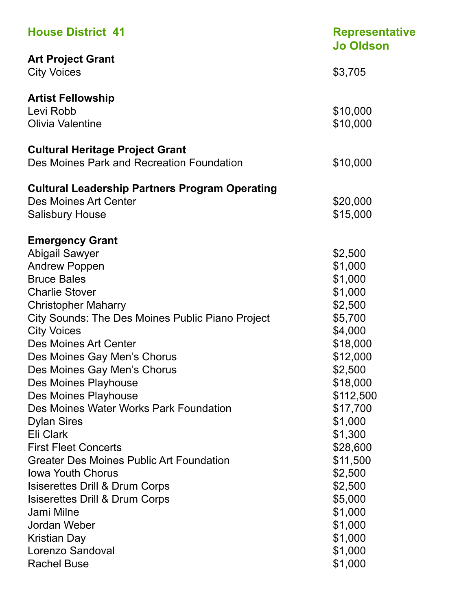| <b>House District 41</b>                                | <b>Representative</b><br><b>Jo Oldson</b> |
|---------------------------------------------------------|-------------------------------------------|
| <b>Art Project Grant</b>                                |                                           |
| <b>City Voices</b>                                      | \$3,705                                   |
| <b>Artist Fellowship</b>                                |                                           |
| Levi Robb                                               | \$10,000                                  |
| <b>Olivia Valentine</b>                                 | \$10,000                                  |
| <b>Cultural Heritage Project Grant</b>                  |                                           |
| Des Moines Park and Recreation Foundation               | \$10,000                                  |
| <b>Cultural Leadership Partners Program Operating</b>   |                                           |
| Des Moines Art Center                                   | \$20,000                                  |
| <b>Salisbury House</b>                                  | \$15,000                                  |
| <b>Emergency Grant</b>                                  |                                           |
| <b>Abigail Sawyer</b>                                   | \$2,500                                   |
| <b>Andrew Poppen</b>                                    | \$1,000                                   |
| <b>Bruce Bales</b>                                      | \$1,000                                   |
| <b>Charlie Stover</b>                                   | \$1,000                                   |
| <b>Christopher Maharry</b>                              | \$2,500                                   |
| <b>City Sounds: The Des Moines Public Piano Project</b> | \$5,700                                   |
| <b>City Voices</b>                                      | \$4,000                                   |
| Des Moines Art Center                                   | \$18,000                                  |
| Des Moines Gay Men's Chorus                             | \$12,000                                  |
| Des Moines Gay Men's Chorus                             | \$2,500                                   |
| Des Moines Playhouse                                    | \$18,000                                  |
| Des Moines Playhouse                                    | \$112,500                                 |
| Des Moines Water Works Park Foundation                  | \$17,700                                  |
| <b>Dylan Sires</b>                                      | \$1,000                                   |
| Eli Clark                                               | \$1,300                                   |
| <b>First Fleet Concerts</b>                             | \$28,600                                  |
| <b>Greater Des Moines Public Art Foundation</b>         | \$11,500                                  |
| <b>Iowa Youth Chorus</b>                                | \$2,500                                   |
| Isiserettes Drill & Drum Corps                          | \$2,500                                   |
| <b>Isiserettes Drill &amp; Drum Corps</b>               | \$5,000                                   |
| Jami Milne                                              | \$1,000                                   |
| Jordan Weber                                            | \$1,000                                   |
| <b>Kristian Day</b>                                     | \$1,000                                   |
| Lorenzo Sandoval                                        | \$1,000                                   |
| <b>Rachel Buse</b>                                      | \$1,000                                   |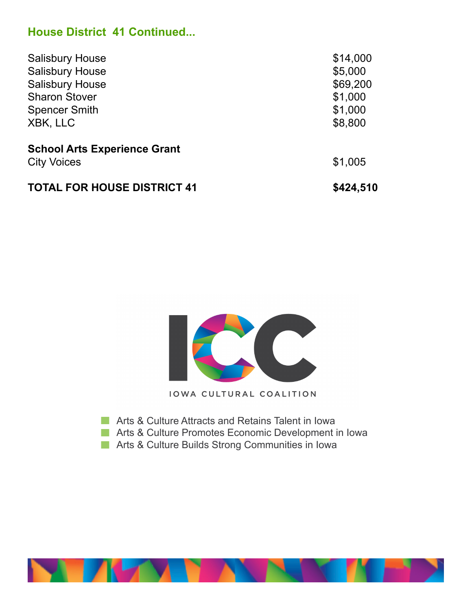### **House District 41 Continued...**

| <b>Salisbury House</b>              | \$14,000  |
|-------------------------------------|-----------|
| <b>Salisbury House</b>              | \$5,000   |
| <b>Salisbury House</b>              | \$69,200  |
| <b>Sharon Stover</b>                | \$1,000   |
| <b>Spencer Smith</b>                | \$1,000   |
| XBK, LLC                            | \$8,800   |
| <b>School Arts Experience Grant</b> |           |
| <b>City Voices</b>                  | \$1,005   |
| <b>TOTAL FOR HOUSE DISTRICT 41</b>  | \$424,510 |



- **Arts & Culture Attracts and Retains Talent in Iowa**
- **Arts & Culture Promotes Economic Development in Iowa**
- **Arts & Culture Builds Strong Communities in Iowa**

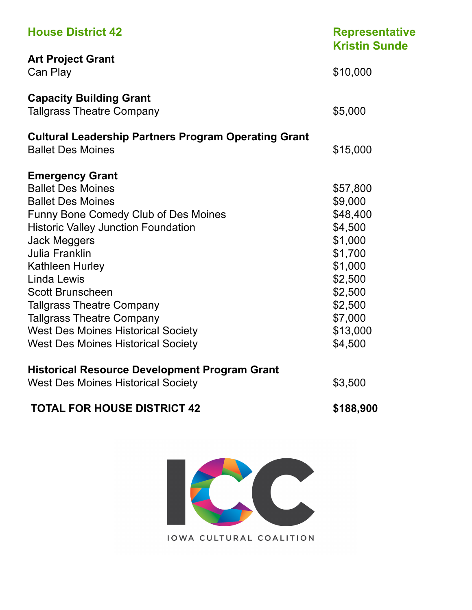| <b>House District 42</b>                                    | <b>Representative</b><br><b>Kristin Sunde</b> |
|-------------------------------------------------------------|-----------------------------------------------|
| <b>Art Project Grant</b>                                    |                                               |
| Can Play                                                    | \$10,000                                      |
| <b>Capacity Building Grant</b>                              |                                               |
| <b>Tallgrass Theatre Company</b>                            | \$5,000                                       |
| <b>Cultural Leadership Partners Program Operating Grant</b> |                                               |
| <b>Ballet Des Moines</b>                                    | \$15,000                                      |
| <b>Emergency Grant</b>                                      |                                               |
| <b>Ballet Des Moines</b>                                    | \$57,800                                      |
| <b>Ballet Des Moines</b>                                    | \$9,000                                       |
| Funny Bone Comedy Club of Des Moines                        | \$48,400                                      |
| <b>Historic Valley Junction Foundation</b>                  | \$4,500                                       |
| <b>Jack Meggers</b>                                         | \$1,000                                       |
| <b>Julia Franklin</b>                                       | \$1,700                                       |
| <b>Kathleen Hurley</b>                                      | \$1,000                                       |
| Linda Lewis                                                 | \$2,500                                       |
| <b>Scott Brunscheen</b>                                     | \$2,500                                       |
| <b>Tallgrass Theatre Company</b>                            | \$2,500                                       |
| <b>Tallgrass Theatre Company</b>                            | \$7,000                                       |
| <b>West Des Moines Historical Society</b>                   | \$13,000                                      |
| <b>West Des Moines Historical Society</b>                   | \$4,500                                       |
| <b>Historical Resource Development Program Grant</b>        |                                               |
| <b>West Des Moines Historical Society</b>                   | \$3,500                                       |
| <b>TOTAL FOR HOUSE DISTRICT 42</b>                          | \$188,900                                     |

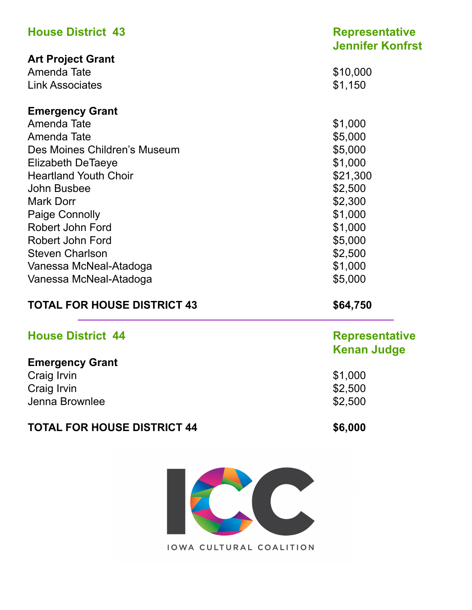| <b>House District 43</b><br><b>Art Project Grant</b> | <b>Representative</b><br><b>Jennifer Konfrst</b> |  |
|------------------------------------------------------|--------------------------------------------------|--|
|                                                      |                                                  |  |
| Amenda Tate                                          | \$10,000                                         |  |
| <b>Link Associates</b>                               | \$1,150                                          |  |
| <b>Emergency Grant</b>                               |                                                  |  |
| Amenda Tate                                          | \$1,000                                          |  |
| Amenda Tate                                          | \$5,000                                          |  |
| Des Moines Children's Museum                         | \$5,000                                          |  |
| <b>Elizabeth DeTaeye</b>                             | \$1,000                                          |  |
| <b>Heartland Youth Choir</b>                         | \$21,300                                         |  |
| John Busbee                                          | \$2,500                                          |  |
| <b>Mark Dorr</b>                                     | \$2,300                                          |  |
| Paige Connolly                                       | \$1,000                                          |  |
| Robert John Ford                                     | \$1,000                                          |  |
| Robert John Ford                                     | \$5,000                                          |  |
| <b>Steven Charlson</b>                               | \$2,500                                          |  |
| Vanessa McNeal-Atadoga                               | \$1,000                                          |  |
| Vanessa McNeal-Atadoga                               | \$5,000                                          |  |
| <b>TOTAL FOR HOUSE DISTRICT 43</b>                   | \$64,750                                         |  |
| <b>House District 44</b>                             | <b>Representative</b>                            |  |
|                                                      | <b>Kenan Judge</b>                               |  |
| <b>Emergency Grant</b>                               |                                                  |  |
| Craig Irvin                                          | \$1,000                                          |  |
| Craig Irvin                                          | \$2,500                                          |  |
| Jenna Brownlee                                       | \$2,500                                          |  |
| <b>TOTAL FOR HOUSE DISTRICT 44</b>                   | \$6,000                                          |  |

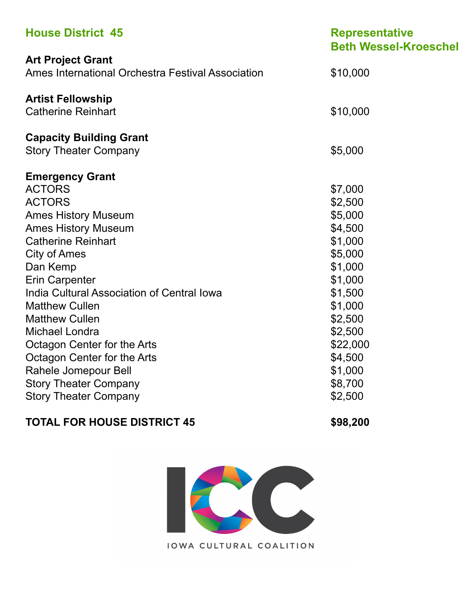| <b>House District 45</b>                                                                                                                                                                                                                                                                                                                                                                                                     | <b>Representative</b><br><b>Beth Wessel-Kroeschel</b>                                                                                                              |
|------------------------------------------------------------------------------------------------------------------------------------------------------------------------------------------------------------------------------------------------------------------------------------------------------------------------------------------------------------------------------------------------------------------------------|--------------------------------------------------------------------------------------------------------------------------------------------------------------------|
| <b>Art Project Grant</b><br>Ames International Orchestra Festival Association                                                                                                                                                                                                                                                                                                                                                | \$10,000                                                                                                                                                           |
| <b>Artist Fellowship</b><br><b>Catherine Reinhart</b>                                                                                                                                                                                                                                                                                                                                                                        | \$10,000                                                                                                                                                           |
| <b>Capacity Building Grant</b><br><b>Story Theater Company</b>                                                                                                                                                                                                                                                                                                                                                               | \$5,000                                                                                                                                                            |
| <b>Emergency Grant</b><br><b>ACTORS</b><br><b>ACTORS</b><br><b>Ames History Museum</b><br><b>Ames History Museum</b><br><b>Catherine Reinhart</b><br><b>City of Ames</b><br>Dan Kemp<br><b>Erin Carpenter</b><br>India Cultural Association of Central Iowa<br><b>Matthew Cullen</b><br><b>Matthew Cullen</b><br><b>Michael Londra</b><br>Octagon Center for the Arts<br>Octagon Center for the Arts<br>Rahele Jomepour Bell | \$7,000<br>\$2,500<br>\$5,000<br>\$4,500<br>\$1,000<br>\$5,000<br>\$1,000<br>\$1,000<br>\$1,500<br>\$1,000<br>\$2,500<br>\$2,500<br>\$22,000<br>\$4,500<br>\$1,000 |
| <b>Story Theater Company</b><br><b>Story Theater Company</b>                                                                                                                                                                                                                                                                                                                                                                 | \$8,700<br>\$2,500                                                                                                                                                 |

### **TOTAL FOR HOUSE DISTRICT 45** \$98,200

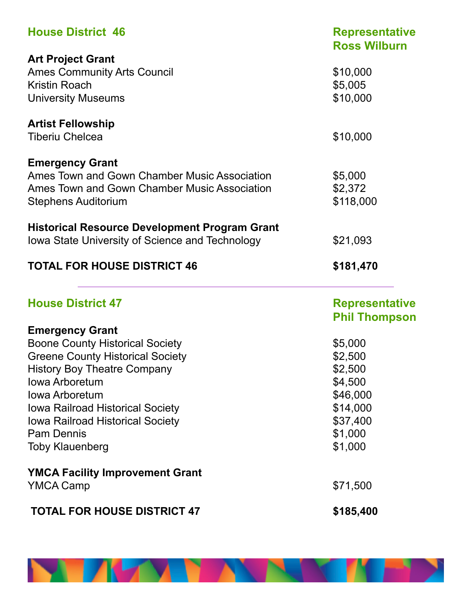| <b>House District 46</b>                                                                                                                             | <b>Representative</b><br><b>Ross Wilburn</b>  |
|------------------------------------------------------------------------------------------------------------------------------------------------------|-----------------------------------------------|
| <b>Art Project Grant</b><br><b>Ames Community Arts Council</b><br>Kristin Roach<br><b>University Museums</b>                                         | \$10,000<br>\$5,005<br>\$10,000               |
| <b>Artist Fellowship</b><br><b>Tiberiu Chelcea</b>                                                                                                   | \$10,000                                      |
| <b>Emergency Grant</b><br>Ames Town and Gown Chamber Music Association<br>Ames Town and Gown Chamber Music Association<br><b>Stephens Auditorium</b> | \$5,000<br>\$2,372<br>\$118,000               |
| <b>Historical Resource Development Program Grant</b><br>Iowa State University of Science and Technology                                              | \$21,093                                      |
| <b>TOTAL FOR HOUSE DISTRICT 46</b>                                                                                                                   | \$181,470                                     |
|                                                                                                                                                      |                                               |
| <b>House District 47</b>                                                                                                                             | <b>Representative</b><br><b>Phil Thompson</b> |
| <b>Emergency Grant</b>                                                                                                                               |                                               |
| <b>Boone County Historical Society</b>                                                                                                               | \$5,000                                       |
| <b>Greene County Historical Society</b>                                                                                                              | \$2,500                                       |
| <b>History Boy Theatre Company</b>                                                                                                                   | \$2,500                                       |
| <b>Iowa Arboretum</b>                                                                                                                                | \$4,500                                       |
| <b>Iowa Arboretum</b>                                                                                                                                | \$46,000                                      |
| <b>Iowa Railroad Historical Society</b>                                                                                                              | \$14,000                                      |
| Iowa Railroad Historical Society                                                                                                                     | \$37,400                                      |
| <b>Pam Dennis</b>                                                                                                                                    | \$1,000                                       |
| <b>Toby Klauenberg</b>                                                                                                                               | \$1,000                                       |
| <b>YMCA Facility Improvement Grant</b>                                                                                                               |                                               |
| <b>YMCA Camp</b>                                                                                                                                     | \$71,500                                      |

**NEW YORK** 

'N EN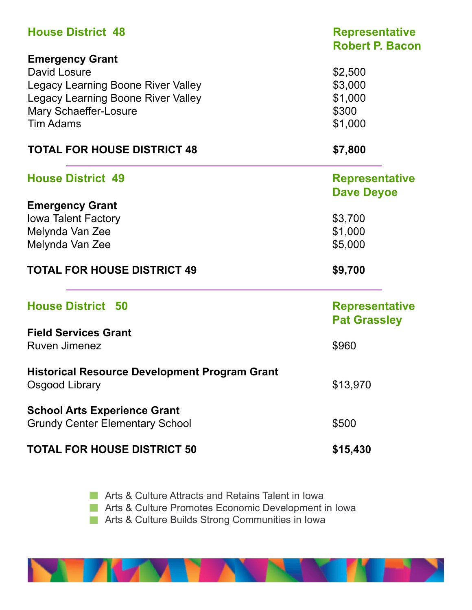| <b>House District 48</b>                             | <b>Representative</b><br><b>Robert P. Bacon</b> |  |
|------------------------------------------------------|-------------------------------------------------|--|
| <b>Emergency Grant</b>                               |                                                 |  |
| David Losure                                         | \$2,500                                         |  |
| <b>Legacy Learning Boone River Valley</b>            | \$3,000                                         |  |
| <b>Legacy Learning Boone River Valley</b>            | \$1,000                                         |  |
| Mary Schaeffer-Losure                                | \$300                                           |  |
| <b>Tim Adams</b>                                     | \$1,000                                         |  |
| <b>TOTAL FOR HOUSE DISTRICT 48</b>                   | \$7,800                                         |  |
| <b>House District 49</b>                             | <b>Representative</b>                           |  |
|                                                      | <b>Dave Deyoe</b>                               |  |
| <b>Emergency Grant</b>                               |                                                 |  |
| <b>Iowa Talent Factory</b>                           | \$3,700                                         |  |
| Melynda Van Zee                                      | \$1,000                                         |  |
| Melynda Van Zee                                      | \$5,000                                         |  |
|                                                      |                                                 |  |
| <b>TOTAL FOR HOUSE DISTRICT 49</b>                   | \$9,700                                         |  |
| <b>House District 50</b>                             | <b>Representative</b>                           |  |
|                                                      | <b>Pat Grassley</b>                             |  |
| <b>Field Services Grant</b>                          |                                                 |  |
| <b>Ruven Jimenez</b>                                 | \$960                                           |  |
| <b>Historical Resource Development Program Grant</b> |                                                 |  |
| Osgood Library                                       | \$13,970                                        |  |
| <b>School Arts Experience Grant</b>                  |                                                 |  |
| <b>Grundy Center Elementary School</b>               | \$500                                           |  |
| <b>TOTAL FOR HOUSE DISTRICT 50</b>                   | \$15,430                                        |  |

**Arts & Culture Attracts and Retains Talent in Iowa** 

**Arts & Culture Promotes Economic Development in Iowa** 

**Arts & Culture Builds Strong Communities in Iowa** 

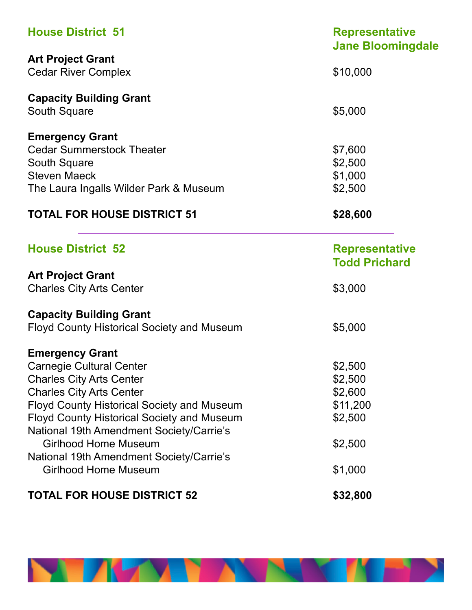| <b>House District 51</b>                          | <b>Representative</b><br><b>Jane Bloomingdale</b> |
|---------------------------------------------------|---------------------------------------------------|
| <b>Art Project Grant</b>                          |                                                   |
| <b>Cedar River Complex</b>                        | \$10,000                                          |
| <b>Capacity Building Grant</b>                    |                                                   |
| South Square                                      | \$5,000                                           |
| <b>Emergency Grant</b>                            |                                                   |
| <b>Cedar Summerstock Theater</b>                  | \$7,600                                           |
| South Square                                      | \$2,500                                           |
| <b>Steven Maeck</b>                               | \$1,000                                           |
| The Laura Ingalls Wilder Park & Museum            | \$2,500                                           |
| <b>TOTAL FOR HOUSE DISTRICT 51</b>                | \$28,600                                          |
| <b>House District 52</b>                          | <b>Representative</b><br><b>Todd Prichard</b>     |
| <b>Art Project Grant</b>                          |                                                   |
| <b>Charles City Arts Center</b>                   | \$3,000                                           |
| <b>Capacity Building Grant</b>                    |                                                   |
| <b>Floyd County Historical Society and Museum</b> | \$5,000                                           |
| <b>Emergency Grant</b>                            |                                                   |
| <b>Carnegie Cultural Center</b>                   | \$2,500                                           |
| <b>Charles City Arts Center</b>                   | \$2,500                                           |
| <b>Charles City Arts Center</b>                   | \$2,600                                           |
| <b>Floyd County Historical Society and Museum</b> | \$11,200                                          |
| <b>Floyd County Historical Society and Museum</b> | \$2,500                                           |
| National 19th Amendment Society/Carrie's          |                                                   |
| <b>Girlhood Home Museum</b>                       | \$2,500                                           |
| National 19th Amendment Society/Carrie's          |                                                   |
| <b>Girlhood Home Museum</b>                       | \$1,000                                           |
| <b>TOTAL FOR HOUSE DISTRICT 52</b>                | \$32,800                                          |

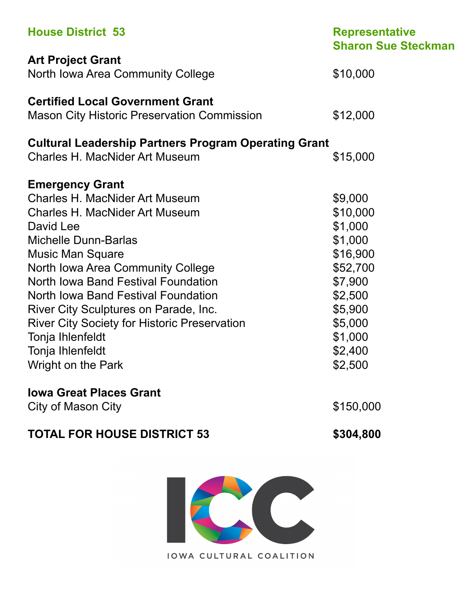| <b>House District 53</b>                                    | <b>Representative</b><br><b>Sharon Sue Steckman</b> |
|-------------------------------------------------------------|-----------------------------------------------------|
| <b>Art Project Grant</b>                                    |                                                     |
| North Iowa Area Community College                           | \$10,000                                            |
| <b>Certified Local Government Grant</b>                     |                                                     |
| <b>Mason City Historic Preservation Commission</b>          | \$12,000                                            |
| <b>Cultural Leadership Partners Program Operating Grant</b> |                                                     |
| <b>Charles H. MacNider Art Museum</b>                       | \$15,000                                            |
| <b>Emergency Grant</b>                                      |                                                     |
| <b>Charles H. MacNider Art Museum</b>                       | \$9,000                                             |
| <b>Charles H. MacNider Art Museum</b>                       | \$10,000                                            |
| David Lee                                                   | \$1,000                                             |
| <b>Michelle Dunn-Barlas</b>                                 | \$1,000                                             |
| <b>Music Man Square</b>                                     | \$16,900                                            |
| North Iowa Area Community College                           | \$52,700                                            |
| North Iowa Band Festival Foundation                         | \$7,900                                             |
| North Iowa Band Festival Foundation                         | \$2,500                                             |
| River City Sculptures on Parade, Inc.                       | \$5,900                                             |
| <b>River City Society for Historic Preservation</b>         | \$5,000                                             |
| Tonja Ihlenfeldt                                            | \$1,000                                             |
| Tonja Ihlenfeldt                                            | \$2,400                                             |
| Wright on the Park                                          | \$2,500                                             |
| <b>Iowa Great Places Grant</b>                              |                                                     |
| <b>City of Mason City</b>                                   | \$150,000                                           |
| <b>TOTAL FOR HOUSE DISTRICT 53</b>                          | \$304,800                                           |
|                                                             |                                                     |
|                                                             |                                                     |

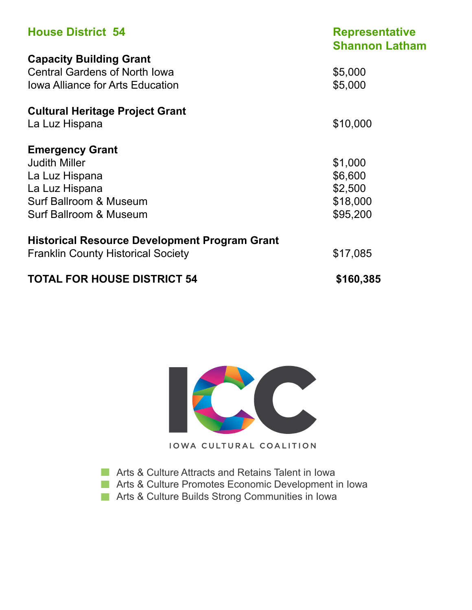| <b>House District 54</b>                             | <b>Representative</b><br><b>Shannon Latham</b> |
|------------------------------------------------------|------------------------------------------------|
| <b>Capacity Building Grant</b>                       |                                                |
| <b>Central Gardens of North Iowa</b>                 | \$5,000                                        |
| <b>Iowa Alliance for Arts Education</b>              | \$5,000                                        |
| <b>Cultural Heritage Project Grant</b>               |                                                |
| La Luz Hispana                                       | \$10,000                                       |
| <b>Emergency Grant</b>                               |                                                |
| <b>Judith Miller</b>                                 | \$1,000                                        |
| La Luz Hispana                                       | \$6,600                                        |
| La Luz Hispana                                       | \$2,500                                        |
| Surf Ballroom & Museum                               | \$18,000                                       |
| Surf Ballroom & Museum                               | \$95,200                                       |
| <b>Historical Resource Development Program Grant</b> |                                                |
| <b>Franklin County Historical Society</b>            | \$17,085                                       |
| <b>TOTAL FOR HOUSE DISTRICT 54</b>                   | \$160,385                                      |



**Arts & Culture Attracts and Retains Talent in Iowa** 

**Arts & Culture Promotes Economic Development in Iowa** 

**Arts & Culture Builds Strong Communities in Iowa**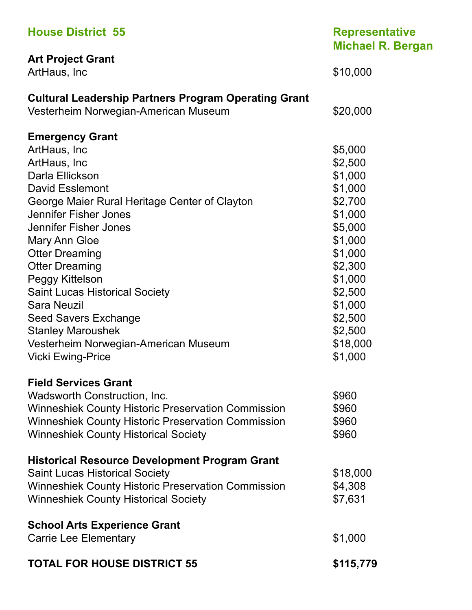| <b>House District 55</b>                                                                            | <b>Representative</b><br><b>Michael R. Bergan</b> |
|-----------------------------------------------------------------------------------------------------|---------------------------------------------------|
| <b>Art Project Grant</b><br>ArtHaus, Inc                                                            | \$10,000                                          |
| <b>Cultural Leadership Partners Program Operating Grant</b><br>Vesterheim Norwegian-American Museum | \$20,000                                          |
| <b>Emergency Grant</b>                                                                              |                                                   |
| ArtHaus, Inc.                                                                                       | \$5,000                                           |
| ArtHaus, Inc                                                                                        | \$2,500                                           |
| Darla Ellickson                                                                                     | \$1,000                                           |
| <b>David Esslemont</b>                                                                              | \$1,000                                           |
| George Maier Rural Heritage Center of Clayton                                                       | \$2,700                                           |
| Jennifer Fisher Jones                                                                               | \$1,000                                           |
| Jennifer Fisher Jones                                                                               | \$5,000                                           |
| Mary Ann Gloe                                                                                       | \$1,000                                           |
| <b>Otter Dreaming</b>                                                                               | \$1,000                                           |
| <b>Otter Dreaming</b>                                                                               | \$2,300                                           |
| Peggy Kittelson                                                                                     | \$1,000                                           |
| <b>Saint Lucas Historical Society</b>                                                               | \$2,500                                           |
| <b>Sara Neuzil</b>                                                                                  | \$1,000                                           |
| <b>Seed Savers Exchange</b>                                                                         | \$2,500                                           |
| <b>Stanley Maroushek</b>                                                                            | \$2,500                                           |
| Vesterheim Norwegian-American Museum                                                                | \$18,000                                          |
| <b>Vicki Ewing-Price</b>                                                                            | \$1,000                                           |
| <b>Field Services Grant</b>                                                                         |                                                   |
| Wadsworth Construction, Inc.                                                                        | \$960                                             |
| <b>Winneshiek County Historic Preservation Commission</b>                                           | \$960                                             |
| <b>Winneshiek County Historic Preservation Commission</b>                                           | \$960                                             |
| <b>Winneshiek County Historical Society</b>                                                         | \$960                                             |
| <b>Historical Resource Development Program Grant</b>                                                |                                                   |
| <b>Saint Lucas Historical Society</b>                                                               | \$18,000                                          |
| <b>Winneshiek County Historic Preservation Commission</b>                                           | \$4,308                                           |
| <b>Winneshiek County Historical Society</b>                                                         | \$7,631                                           |
| <b>School Arts Experience Grant</b>                                                                 |                                                   |
| <b>Carrie Lee Elementary</b>                                                                        | \$1,000                                           |
| <b>TOTAL FOR HOUSE DISTRICT 55</b>                                                                  | \$115,779                                         |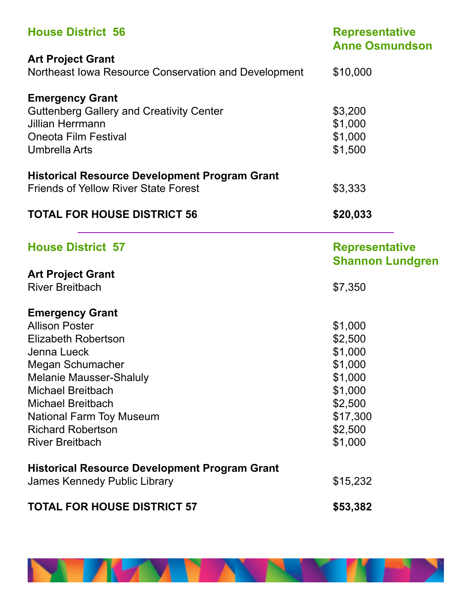| <b>House District 56</b>                             | <b>Representative</b><br><b>Anne Osmundson</b>   |
|------------------------------------------------------|--------------------------------------------------|
| <b>Art Project Grant</b>                             |                                                  |
| Northeast Iowa Resource Conservation and Development | \$10,000                                         |
| <b>Emergency Grant</b>                               |                                                  |
| <b>Guttenberg Gallery and Creativity Center</b>      | \$3,200                                          |
| <b>Jillian Herrmann</b>                              | \$1,000                                          |
| <b>Oneota Film Festival</b>                          | \$1,000                                          |
| <b>Umbrella Arts</b>                                 | \$1,500                                          |
| <b>Historical Resource Development Program Grant</b> |                                                  |
| <b>Friends of Yellow River State Forest</b>          | \$3,333                                          |
| <b>TOTAL FOR HOUSE DISTRICT 56</b>                   | \$20,033                                         |
| <b>House District 57</b>                             | <b>Representative</b><br><b>Shannon Lundgren</b> |
| <b>Art Project Grant</b>                             |                                                  |
| <b>River Breitbach</b>                               | \$7,350                                          |
| <b>Emergency Grant</b>                               |                                                  |
| <b>Allison Poster</b>                                | \$1,000                                          |
| <b>Elizabeth Robertson</b>                           | \$2,500                                          |
| Jenna Lueck                                          | \$1,000                                          |
| Megan Schumacher                                     | \$1,000                                          |
| <b>Melanie Mausser-Shaluly</b>                       | \$1,000                                          |
| <b>Michael Breitbach</b>                             | \$1,000                                          |
| <b>Michael Breitbach</b>                             | \$2,500                                          |
| <b>National Farm Toy Museum</b>                      | \$17,300                                         |
| <b>Richard Robertson</b>                             | \$2,500                                          |
| <b>River Breitbach</b>                               | \$1,000                                          |
| <b>Historical Resource Development Program Grant</b> |                                                  |
| James Kennedy Public Library                         | \$15,232                                         |
| <b>TOTAL FOR HOUSE DISTRICT 57</b>                   | \$53,382                                         |

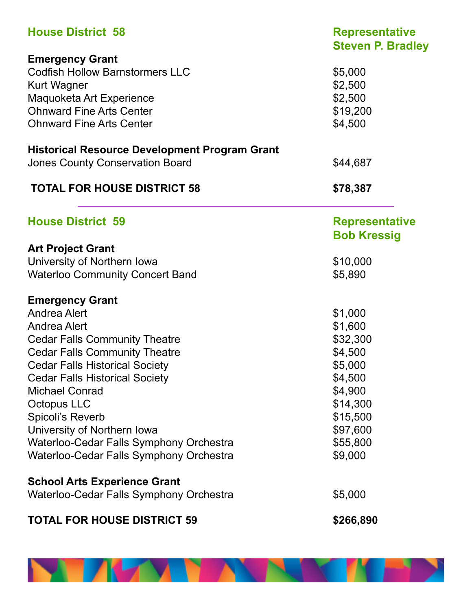| <b>House District 58</b>                             | <b>Representative</b><br><b>Steven P. Bradley</b> |
|------------------------------------------------------|---------------------------------------------------|
| <b>Emergency Grant</b>                               |                                                   |
| <b>Codfish Hollow Barnstormers LLC</b>               | \$5,000                                           |
| <b>Kurt Wagner</b>                                   | \$2,500                                           |
| Maquoketa Art Experience                             | \$2,500                                           |
| <b>Ohnward Fine Arts Center</b>                      |                                                   |
|                                                      | \$19,200                                          |
| <b>Ohnward Fine Arts Center</b>                      | \$4,500                                           |
| <b>Historical Resource Development Program Grant</b> |                                                   |
| <b>Jones County Conservation Board</b>               | \$44,687                                          |
| <b>TOTAL FOR HOUSE DISTRICT 58</b>                   | \$78,387                                          |
| <b>House District 59</b>                             | <b>Representative</b>                             |
|                                                      | <b>Bob Kressig</b>                                |
| <b>Art Project Grant</b>                             |                                                   |
| University of Northern Iowa                          | \$10,000                                          |
| <b>Waterloo Community Concert Band</b>               | \$5,890                                           |
|                                                      |                                                   |
| <b>Emergency Grant</b>                               |                                                   |
| <b>Andrea Alert</b>                                  | \$1,000                                           |
| <b>Andrea Alert</b>                                  | \$1,600                                           |
| <b>Cedar Falls Community Theatre</b>                 | \$32,300                                          |
| <b>Cedar Falls Community Theatre</b>                 | \$4,500                                           |
| <b>Cedar Falls Historical Society</b>                | \$5,000                                           |
| <b>Cedar Falls Historical Society</b>                | \$4,500                                           |
| <b>Michael Conrad</b>                                | \$4,900                                           |
| Octopus LLC                                          | \$14,300                                          |
|                                                      |                                                   |
| Spicoli's Reverb                                     | \$15,500                                          |
| University of Northern Iowa                          | \$97,600                                          |
| Waterloo-Cedar Falls Symphony Orchestra              | \$55,800                                          |
| Waterloo-Cedar Falls Symphony Orchestra              | \$9,000                                           |
| <b>School Arts Experience Grant</b>                  |                                                   |
| Waterloo-Cedar Falls Symphony Orchestra              | \$5,000                                           |
| <b>TOTAL FOR HOUSE DISTRICT 59</b>                   | \$266,890                                         |

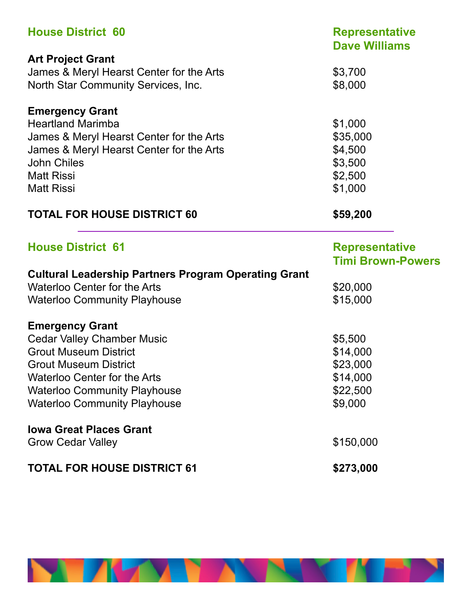| <b>House District 60</b>                                    | <b>Representative</b><br><b>Dave Williams</b> |
|-------------------------------------------------------------|-----------------------------------------------|
| <b>Art Project Grant</b>                                    |                                               |
| James & Meryl Hearst Center for the Arts                    | \$3,700                                       |
| North Star Community Services, Inc.                         | \$8,000                                       |
| <b>Emergency Grant</b>                                      |                                               |
| <b>Heartland Marimba</b>                                    | \$1,000                                       |
| James & Meryl Hearst Center for the Arts                    | \$35,000                                      |
| James & Meryl Hearst Center for the Arts                    | \$4,500                                       |
| <b>John Chiles</b>                                          | \$3,500                                       |
| <b>Matt Rissi</b>                                           | \$2,500                                       |
| <b>Matt Rissi</b>                                           | \$1,000                                       |
| <b>TOTAL FOR HOUSE DISTRICT 60</b>                          | \$59,200                                      |
| <b>House District 61</b>                                    | <b>Representative</b>                         |
|                                                             | <b>Timi Brown-Powers</b>                      |
| <b>Cultural Leadership Partners Program Operating Grant</b> |                                               |
| <b>Waterloo Center for the Arts</b>                         | \$20,000                                      |
| <b>Waterloo Community Playhouse</b>                         | \$15,000                                      |
| <b>Emergency Grant</b>                                      |                                               |
| <b>Cedar Valley Chamber Music</b>                           | \$5,500                                       |
| <b>Grout Museum District</b>                                | \$14,000                                      |
| <b>Grout Museum District</b>                                | \$23,000                                      |
| <b>Waterloo Center for the Arts</b>                         | \$14,000                                      |
| <b>Waterloo Community Playhouse</b>                         | \$22,500                                      |
| <b>Waterloo Community Playhouse</b>                         | \$9,000                                       |
| <b>Iowa Great Places Grant</b>                              |                                               |
| <b>Grow Cedar Valley</b>                                    | \$150,000                                     |
| <b>TOTAL FOR HOUSE DISTRICT 61</b>                          | \$273,000                                     |

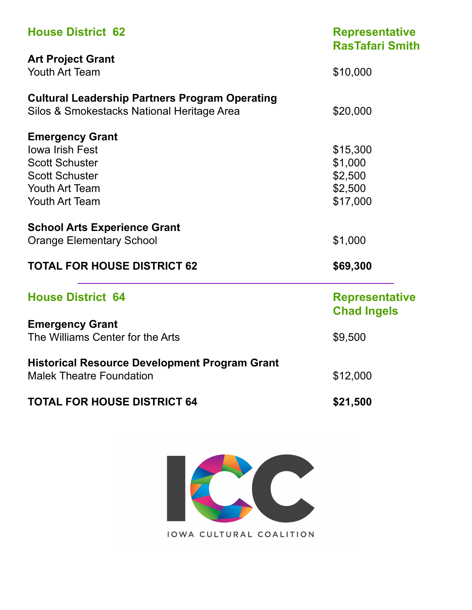| <b>House District 62</b>                              | <b>Representative</b><br><b>RasTafari Smith</b> |  |
|-------------------------------------------------------|-------------------------------------------------|--|
| <b>Art Project Grant</b>                              |                                                 |  |
| <b>Youth Art Team</b>                                 | \$10,000                                        |  |
| <b>Cultural Leadership Partners Program Operating</b> |                                                 |  |
| Silos & Smokestacks National Heritage Area            | \$20,000                                        |  |
| <b>Emergency Grant</b>                                |                                                 |  |
| <b>Iowa Irish Fest</b>                                | \$15,300                                        |  |
| <b>Scott Schuster</b>                                 | \$1,000                                         |  |
| <b>Scott Schuster</b>                                 | \$2,500                                         |  |
| <b>Youth Art Team</b>                                 | \$2,500                                         |  |
| <b>Youth Art Team</b>                                 | \$17,000                                        |  |
| <b>School Arts Experience Grant</b>                   |                                                 |  |
| <b>Orange Elementary School</b>                       | \$1,000                                         |  |
| <b>TOTAL FOR HOUSE DISTRICT 62</b>                    | \$69,300                                        |  |
| <b>House District 64</b>                              | <b>Representative</b><br><b>Chad Ingels</b>     |  |
| <b>Emergency Grant</b>                                |                                                 |  |
| The Williams Center for the Arts                      | \$9,500                                         |  |
| <b>Historical Resource Development Program Grant</b>  |                                                 |  |
| <b>Malek Theatre Foundation</b>                       | \$12,000                                        |  |
| <b>TOTAL FOR HOUSE DISTRICT 64</b>                    | \$21,500                                        |  |

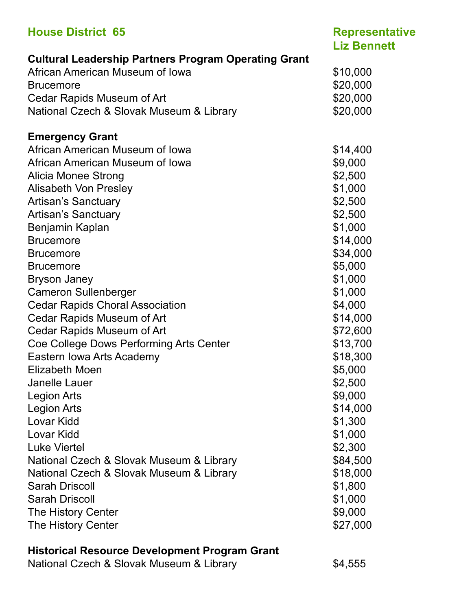| <b>Representative</b><br><b>Liz Bennett</b> |
|---------------------------------------------|
|                                             |
| \$10,000                                    |
| \$20,000                                    |
| \$20,000                                    |
| \$20,000                                    |
|                                             |
| \$14,400                                    |
| \$9,000                                     |
| \$2,500                                     |
| \$1,000                                     |
| \$2,500                                     |
| \$2,500                                     |
| \$1,000                                     |
| \$14,000                                    |
| \$34,000                                    |
| \$5,000                                     |
| \$1,000                                     |
| \$1,000                                     |
| \$4,000                                     |
| \$14,000                                    |
| \$72,600                                    |
| \$13,700                                    |
| \$18,300                                    |
| \$5,000                                     |
| \$2,500                                     |
| \$9,000                                     |
| \$14,000                                    |
| \$1,300                                     |
| \$1,000                                     |
| \$2,300                                     |
| \$84,500                                    |
| \$18,000                                    |
| \$1,800                                     |
| \$1,000                                     |
| \$9,000                                     |
| \$27,000                                    |
|                                             |

### **Historical Resource Development Program Grant**

National Czech & Slovak Museum & Library \$4,555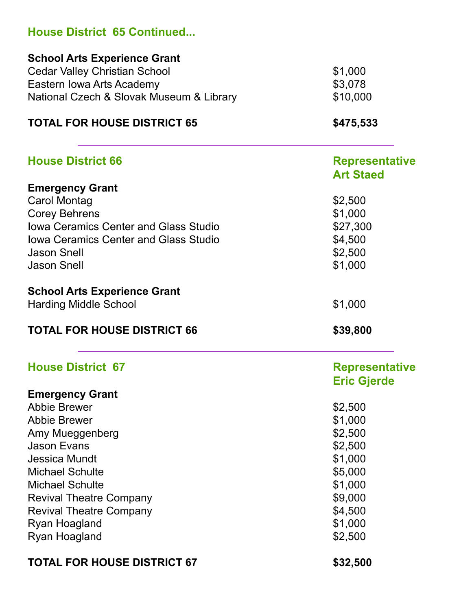| <b>House District 65 Continued</b>           |                                             |
|----------------------------------------------|---------------------------------------------|
| <b>School Arts Experience Grant</b>          |                                             |
| <b>Cedar Valley Christian School</b>         | \$1,000                                     |
| Eastern Iowa Arts Academy                    | \$3,078                                     |
| National Czech & Slovak Museum & Library     | \$10,000                                    |
| <b>TOTAL FOR HOUSE DISTRICT 65</b>           | \$475,533                                   |
| <b>House District 66</b>                     | <b>Representative</b>                       |
|                                              | <b>Art Staed</b>                            |
| <b>Emergency Grant</b>                       |                                             |
| <b>Carol Montag</b>                          | \$2,500<br>\$1,000<br>\$27,300<br>\$4,500   |
| <b>Corey Behrens</b>                         |                                             |
| <b>Iowa Ceramics Center and Glass Studio</b> |                                             |
| <b>Iowa Ceramics Center and Glass Studio</b> |                                             |
| <b>Jason Snell</b>                           | \$2,500                                     |
| <b>Jason Snell</b>                           | \$1,000                                     |
| <b>School Arts Experience Grant</b>          |                                             |
| <b>Harding Middle School</b>                 | \$1,000                                     |
| <b>TOTAL FOR HOUSE DISTRICT 66</b>           | \$39,800                                    |
| <b>House District 67</b>                     | <b>Representative</b><br><b>Eric Gjerde</b> |
| <b>Emergency Grant</b>                       |                                             |
| <b>Abbie Brewer</b><br><b>Abbie Brewer</b>   | \$2,500                                     |
|                                              | \$1,000<br>\$2,500                          |
| Amy Mueggenberg<br><b>Jason Evans</b>        | \$2,500                                     |
| <b>Jessica Mundt</b>                         | \$1,000                                     |
| <b>Michael Schulte</b>                       | \$5,000                                     |
| <b>Michael Schulte</b>                       | \$1,000                                     |
| <b>Revival Theatre Company</b>               | \$9,000                                     |
| <b>Revival Theatre Company</b>               | \$4,500                                     |
| Ryan Hoagland                                | \$1,000                                     |
| Ryan Hoagland                                | \$2,500                                     |
| <b>TOTAL FOR HOUSE DISTRICT 67</b>           | \$32,500                                    |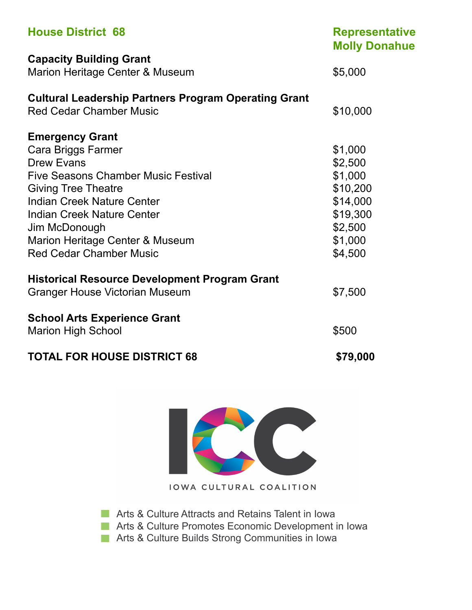| <b>House District 68</b>                                    | <b>Representative</b><br><b>Molly Donahue</b> |
|-------------------------------------------------------------|-----------------------------------------------|
| <b>Capacity Building Grant</b>                              |                                               |
| Marion Heritage Center & Museum                             | \$5,000                                       |
| <b>Cultural Leadership Partners Program Operating Grant</b> |                                               |
| <b>Red Cedar Chamber Music</b>                              | \$10,000                                      |
| <b>Emergency Grant</b>                                      |                                               |
| Cara Briggs Farmer                                          | \$1,000                                       |
| <b>Drew Evans</b>                                           | \$2,500                                       |
| <b>Five Seasons Chamber Music Festival</b>                  | \$1,000                                       |
| <b>Giving Tree Theatre</b>                                  | \$10,200                                      |
| <b>Indian Creek Nature Center</b>                           | \$14,000                                      |
| <b>Indian Creek Nature Center</b>                           | \$19,300                                      |
| Jim McDonough                                               | \$2,500                                       |
| Marion Heritage Center & Museum                             | \$1,000                                       |
| <b>Red Cedar Chamber Music</b>                              | \$4,500                                       |
| <b>Historical Resource Development Program Grant</b>        |                                               |
| <b>Granger House Victorian Museum</b>                       | \$7,500                                       |
| <b>School Arts Experience Grant</b>                         |                                               |
| <b>Marion High School</b>                                   | \$500                                         |
| <b>TOTAL FOR HOUSE DISTRICT 68</b>                          | \$79,000                                      |



**Arts & Culture Attracts and Retains Talent in Iowa** 

**Arts & Culture Promotes Economic Development in Iowa** 

**Arts & Culture Builds Strong Communities in Iowa**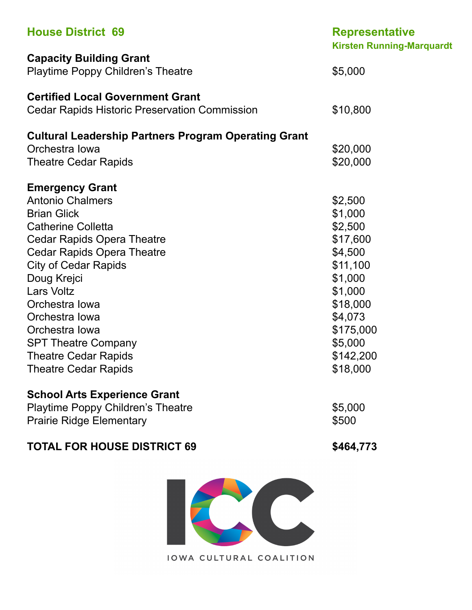| <b>House District 69</b>                                                                                                                                                                                                                                                                                                                                                                            | <b>Representative</b><br><b>Kirsten Running-Marquardt</b>                                                                                                      |
|-----------------------------------------------------------------------------------------------------------------------------------------------------------------------------------------------------------------------------------------------------------------------------------------------------------------------------------------------------------------------------------------------------|----------------------------------------------------------------------------------------------------------------------------------------------------------------|
| <b>Capacity Building Grant</b><br><b>Playtime Poppy Children's Theatre</b>                                                                                                                                                                                                                                                                                                                          | \$5,000                                                                                                                                                        |
| <b>Certified Local Government Grant</b><br><b>Cedar Rapids Historic Preservation Commission</b>                                                                                                                                                                                                                                                                                                     | \$10,800                                                                                                                                                       |
| <b>Cultural Leadership Partners Program Operating Grant</b><br>Orchestra Iowa<br><b>Theatre Cedar Rapids</b>                                                                                                                                                                                                                                                                                        | \$20,000<br>\$20,000                                                                                                                                           |
| <b>Emergency Grant</b><br><b>Antonio Chalmers</b><br><b>Brian Glick</b><br><b>Catherine Colletta</b><br><b>Cedar Rapids Opera Theatre</b><br><b>Cedar Rapids Opera Theatre</b><br><b>City of Cedar Rapids</b><br>Doug Krejci<br><b>Lars Voltz</b><br>Orchestra Iowa<br>Orchestra Iowa<br>Orchestra Iowa<br><b>SPT Theatre Company</b><br><b>Theatre Cedar Rapids</b><br><b>Theatre Cedar Rapids</b> | \$2,500<br>\$1,000<br>\$2,500<br>\$17,600<br>\$4,500<br>\$11,100<br>\$1,000<br>\$1,000<br>\$18,000<br>\$4,073<br>\$175,000<br>\$5,000<br>\$142,200<br>\$18,000 |
| <b>School Arts Experience Grant</b><br><b>Playtime Poppy Children's Theatre</b><br><b>Prairie Ridge Elementary</b>                                                                                                                                                                                                                                                                                  | \$5,000<br>\$500                                                                                                                                               |
| <b>TOTAL FOR HOUSE DISTRICT 69</b>                                                                                                                                                                                                                                                                                                                                                                  | \$464,773                                                                                                                                                      |
|                                                                                                                                                                                                                                                                                                                                                                                                     |                                                                                                                                                                |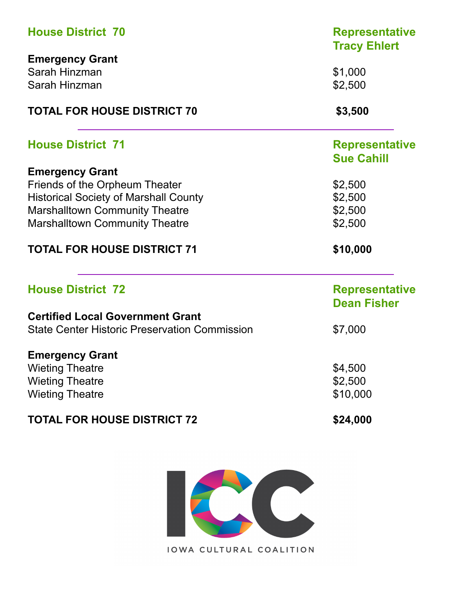| <b>House District 70</b><br><b>Emergency Grant</b>   | <b>Representative</b><br><b>Tracy Ehlert</b> |                          |
|------------------------------------------------------|----------------------------------------------|--------------------------|
|                                                      |                                              |                          |
| Sarah Hinzman                                        | \$1,000                                      |                          |
| Sarah Hinzman<br><b>TOTAL FOR HOUSE DISTRICT 70</b>  | \$2,500<br>\$3,500                           |                          |
|                                                      |                                              | <b>House District 71</b> |
|                                                      | <b>Sue Cahill</b>                            |                          |
| <b>Emergency Grant</b>                               |                                              |                          |
| Friends of the Orpheum Theater                       | \$2,500                                      |                          |
| <b>Historical Society of Marshall County</b>         | \$2,500                                      |                          |
| <b>Marshalltown Community Theatre</b>                | \$2,500                                      |                          |
| <b>Marshalltown Community Theatre</b>                | \$2,500                                      |                          |
| <b>TOTAL FOR HOUSE DISTRICT 71</b>                   | \$10,000                                     |                          |
| <b>House District 72</b>                             | <b>Representative</b>                        |                          |
|                                                      | <b>Dean Fisher</b>                           |                          |
| <b>Certified Local Government Grant</b>              |                                              |                          |
| <b>State Center Historic Preservation Commission</b> | \$7,000                                      |                          |
| <b>Emergency Grant</b>                               |                                              |                          |
| <b>Wieting Theatre</b>                               | \$4,500                                      |                          |
| <b>Wieting Theatre</b>                               | \$2,500                                      |                          |
| <b>Wieting Theatre</b>                               | \$10,000                                     |                          |
| <b>TOTAL FOR HOUSE DISTRICT 72</b>                   | \$24,000                                     |                          |

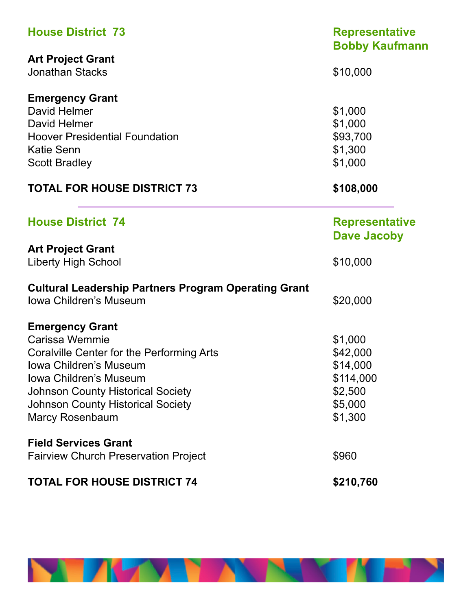| <b>House District 73</b>                                    | <b>Representative</b><br><b>Bobby Kaufmann</b> |  |
|-------------------------------------------------------------|------------------------------------------------|--|
| <b>Art Project Grant</b>                                    |                                                |  |
| <b>Jonathan Stacks</b>                                      | \$10,000                                       |  |
| <b>Emergency Grant</b>                                      |                                                |  |
| David Helmer                                                | \$1,000                                        |  |
| David Helmer                                                | \$1,000                                        |  |
| <b>Hoover Presidential Foundation</b>                       | \$93,700                                       |  |
| <b>Katie Senn</b>                                           | \$1,300                                        |  |
| <b>Scott Bradley</b>                                        | \$1,000                                        |  |
| <b>TOTAL FOR HOUSE DISTRICT 73</b>                          | \$108,000                                      |  |
| <b>House District 74</b>                                    | <b>Representative</b>                          |  |
|                                                             | <b>Dave Jacoby</b>                             |  |
| <b>Art Project Grant</b>                                    | \$10,000                                       |  |
| <b>Liberty High School</b>                                  |                                                |  |
| <b>Cultural Leadership Partners Program Operating Grant</b> |                                                |  |
| Iowa Children's Museum                                      | \$20,000                                       |  |
| <b>Emergency Grant</b>                                      |                                                |  |
| Carissa Wemmie                                              | \$1,000                                        |  |
| Coralville Center for the Performing Arts                   | \$42,000                                       |  |
| Iowa Children's Museum                                      | \$14,000                                       |  |
| <b>Iowa Children's Museum</b>                               | \$114,000                                      |  |
| <b>Johnson County Historical Society</b>                    | \$2,500                                        |  |
| <b>Johnson County Historical Society</b>                    | \$5,000                                        |  |
| <b>Marcy Rosenbaum</b>                                      | \$1,300                                        |  |
| <b>Field Services Grant</b>                                 |                                                |  |
| <b>Fairview Church Preservation Project</b>                 | \$960                                          |  |
| <b>TOTAL FOR HOUSE DISTRICT 74</b>                          | \$210,760                                      |  |

**NEW YORK** 

'N EN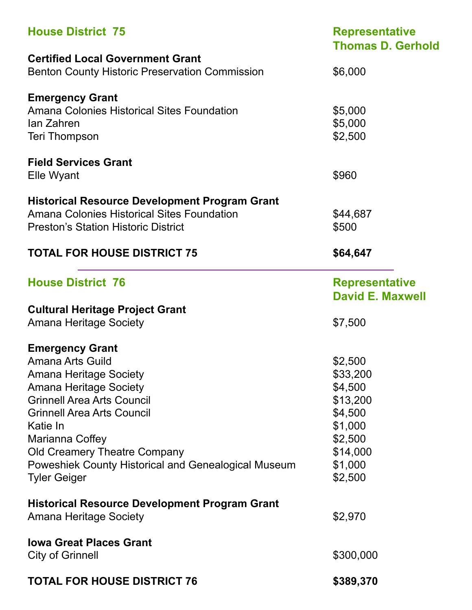| <b>House District 75</b>                              | <b>Representative</b><br><b>Thomas D. Gerhold</b> |
|-------------------------------------------------------|---------------------------------------------------|
| <b>Certified Local Government Grant</b>               |                                                   |
| <b>Benton County Historic Preservation Commission</b> | \$6,000                                           |
| <b>Emergency Grant</b>                                |                                                   |
| <b>Amana Colonies Historical Sites Foundation</b>     | \$5,000                                           |
| lan Zahren                                            | \$5,000                                           |
| <b>Teri Thompson</b>                                  | \$2,500                                           |
| <b>Field Services Grant</b>                           |                                                   |
| Elle Wyant                                            | \$960                                             |
| <b>Historical Resource Development Program Grant</b>  |                                                   |
| Amana Colonies Historical Sites Foundation            | \$44,687                                          |
| <b>Preston's Station Historic District</b>            | \$500                                             |
| <b>TOTAL FOR HOUSE DISTRICT 75</b>                    | \$64,647                                          |
| <b>House District 76</b>                              | <b>Representative</b>                             |
|                                                       | <b>David E. Maxwell</b>                           |
| <b>Cultural Heritage Project Grant</b>                |                                                   |
| <b>Amana Heritage Society</b>                         | \$7,500                                           |
| <b>Emergency Grant</b>                                |                                                   |
| <b>Amana Arts Guild</b>                               | \$2,500                                           |
| <b>Amana Heritage Society</b>                         | \$33,200                                          |
| <b>Amana Heritage Society</b>                         | \$4,500                                           |
| <b>Grinnell Area Arts Council</b>                     | \$13,200                                          |
| <b>Grinnell Area Arts Council</b>                     | \$4,500                                           |
| Katie In                                              | \$1,000                                           |
| Marianna Coffey                                       | \$2,500                                           |
| Old Creamery Theatre Company                          | \$14,000                                          |
| Poweshiek County Historical and Genealogical Museum   | \$1,000                                           |
| <b>Tyler Geiger</b>                                   | \$2,500                                           |
| <b>Historical Resource Development Program Grant</b>  |                                                   |
| <b>Amana Heritage Society</b>                         | \$2,970                                           |
| <b>Iowa Great Places Grant</b>                        |                                                   |
| <b>City of Grinnell</b>                               | \$300,000                                         |
| <b>TOTAL FOR HOUSE DISTRICT 76</b>                    | \$389,370                                         |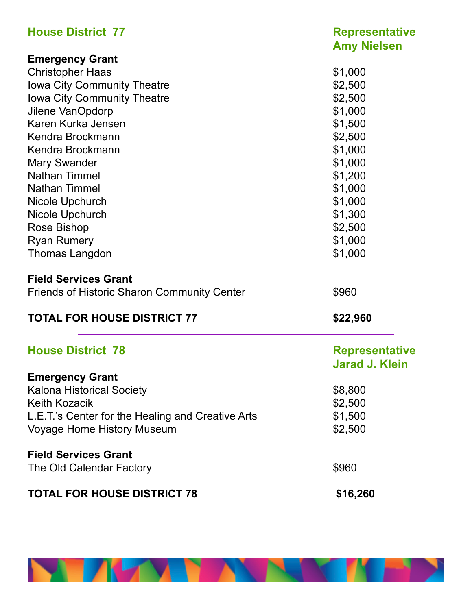| <b>House District 77</b>                           | <b>Representative</b><br><b>Amy Nielsen</b> |
|----------------------------------------------------|---------------------------------------------|
| <b>Emergency Grant</b>                             |                                             |
| <b>Christopher Haas</b>                            | \$1,000                                     |
| Iowa City Community Theatre                        | \$2,500                                     |
| <b>Iowa City Community Theatre</b>                 | \$2,500                                     |
| Jilene VanOpdorp                                   | \$1,000                                     |
| Karen Kurka Jensen                                 | \$1,500                                     |
| Kendra Brockmann                                   | \$2,500                                     |
| Kendra Brockmann                                   | \$1,000                                     |
| <b>Mary Swander</b>                                | \$1,000                                     |
| <b>Nathan Timmel</b>                               | \$1,200                                     |
| <b>Nathan Timmel</b>                               | \$1,000                                     |
| Nicole Upchurch                                    | \$1,000                                     |
| Nicole Upchurch                                    | \$1,300                                     |
| Rose Bishop                                        | \$2,500                                     |
| <b>Ryan Rumery</b>                                 | \$1,000                                     |
| Thomas Langdon                                     | \$1,000                                     |
| <b>Field Services Grant</b>                        |                                             |
| <b>Friends of Historic Sharon Community Center</b> | \$960                                       |
| <b>TOTAL FOR HOUSE DISTRICT 77</b>                 | \$22,960                                    |
| <b>House District 78</b>                           | <b>Representative</b>                       |
|                                                    | <b>Jarad J. Klein</b>                       |
| <b>Emergency Grant</b>                             |                                             |
| <b>Kalona Historical Society</b>                   | \$8,800                                     |
| <b>Keith Kozacik</b>                               | \$2,500                                     |
| L.E.T.'s Center for the Healing and Creative Arts  | \$1,500                                     |
| <b>Voyage Home History Museum</b>                  | \$2,500                                     |
| <b>Field Services Grant</b>                        |                                             |
| The Old Calendar Factory                           | \$960                                       |
| <b>TOTAL FOR HOUSE DISTRICT 78</b>                 | \$16,260                                    |

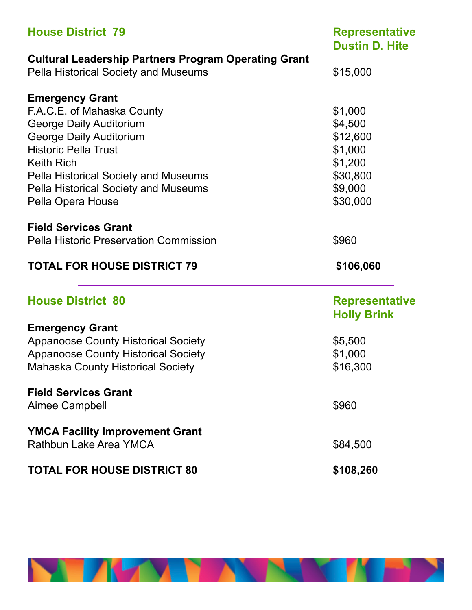| <b>House District 79</b>                                             | <b>Representative</b><br><b>Dustin D. Hite</b> |  |
|----------------------------------------------------------------------|------------------------------------------------|--|
| <b>Cultural Leadership Partners Program Operating Grant</b>          |                                                |  |
| <b>Pella Historical Society and Museums</b>                          | \$15,000                                       |  |
| <b>Emergency Grant</b>                                               |                                                |  |
| F.A.C.E. of Mahaska County                                           | \$1,000                                        |  |
| <b>George Daily Auditorium</b>                                       | \$4,500                                        |  |
| <b>George Daily Auditorium</b>                                       | \$12,600                                       |  |
| <b>Historic Pella Trust</b>                                          | \$1,000                                        |  |
| <b>Keith Rich</b>                                                    | \$1,200                                        |  |
| <b>Pella Historical Society and Museums</b>                          | \$30,800                                       |  |
| <b>Pella Historical Society and Museums</b>                          | \$9,000                                        |  |
| Pella Opera House                                                    | \$30,000                                       |  |
| <b>Field Services Grant</b>                                          |                                                |  |
| <b>Pella Historic Preservation Commission</b>                        | \$960                                          |  |
| <b>TOTAL FOR HOUSE DISTRICT 79</b>                                   | \$106,060                                      |  |
|                                                                      |                                                |  |
| <b>House District 80</b>                                             | <b>Representative</b><br><b>Holly Brink</b>    |  |
|                                                                      |                                                |  |
| <b>Emergency Grant</b><br><b>Appanoose County Historical Society</b> | \$5,500                                        |  |
| <b>Appanoose County Historical Society</b>                           | \$1,000                                        |  |
| <b>Mahaska County Historical Society</b>                             | \$16,300                                       |  |
| <b>Field Services Grant</b>                                          |                                                |  |
| <b>Aimee Campbell</b>                                                | \$960                                          |  |
| <b>YMCA Facility Improvement Grant</b><br>Rathbun Lake Area YMCA     | \$84,500                                       |  |

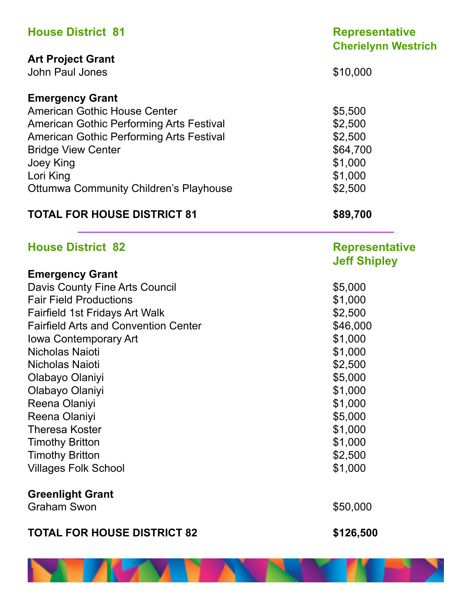| <b>House District 81</b>                        | <b>Representative</b><br><b>Cherielynn Westrich</b> |  |
|-------------------------------------------------|-----------------------------------------------------|--|
| <b>Art Project Grant</b>                        |                                                     |  |
| John Paul Jones                                 | \$10,000                                            |  |
| <b>Emergency Grant</b>                          |                                                     |  |
| <b>American Gothic House Center</b>             | \$5,500                                             |  |
| American Gothic Performing Arts Festival        | \$2,500                                             |  |
| <b>American Gothic Performing Arts Festival</b> | \$2,500                                             |  |
| <b>Bridge View Center</b>                       | \$64,700                                            |  |
| Joey King                                       | \$1,000                                             |  |
| Lori King                                       | \$1,000                                             |  |
| <b>Ottumwa Community Children's Playhouse</b>   | \$2,500                                             |  |
| <b>TOTAL FOR HOUSE DISTRICT 81</b>              | \$89,700                                            |  |
| <b>House District 82</b>                        | <b>Representative</b><br><b>Jeff Shipley</b>        |  |
| <b>Emergency Grant</b>                          |                                                     |  |
| Davis County Fine Arts Council                  | \$5,000                                             |  |
| <b>Fair Field Productions</b>                   | \$1,000                                             |  |
| <b>Fairfield 1st Fridays Art Walk</b>           | \$2,500                                             |  |
| <b>Fairfield Arts and Convention Center</b>     | \$46,000                                            |  |
| Iowa Contemporary Art                           | \$1,000                                             |  |
| Nicholas Naioti                                 | \$1,000                                             |  |
| Nicholas Naioti                                 | \$2,500                                             |  |
| Olabayo Olaniyi<br>Olabayo Olaniyi              | \$5,000<br>\$1,000                                  |  |
| Reena Olaniyi                                   | \$1,000                                             |  |
| Reena Olaniyi                                   | \$5,000                                             |  |
| <b>Theresa Koster</b>                           | \$1,000                                             |  |
| <b>Timothy Britton</b>                          | \$1,000                                             |  |
| <b>Timothy Britton</b>                          | \$2,500                                             |  |
| <b>Villages Folk School</b>                     | \$1,000                                             |  |
| <b>Greenlight Grant</b>                         |                                                     |  |
| <b>Graham Swon</b>                              | \$50,000                                            |  |
| <b>TOTAL FOR HOUSE DISTRICT 82</b>              | \$126,500                                           |  |

**NEW YORK** 

'N EN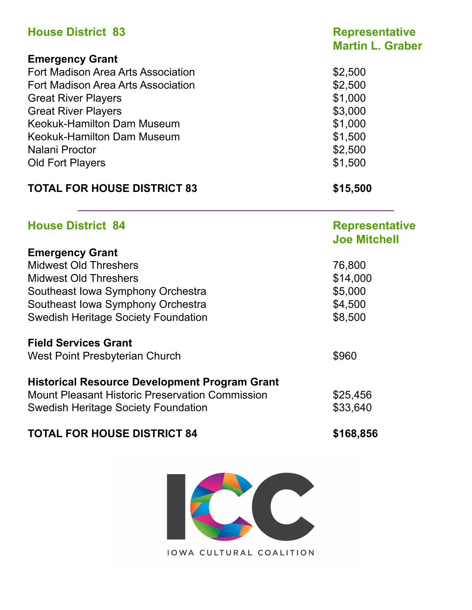| <b>House District 83</b>           | <b>Representative</b><br><b>Martin L. Graber</b> |
|------------------------------------|--------------------------------------------------|
| <b>Emergency Grant</b>             |                                                  |
| Fort Madison Area Arts Association | \$2,500                                          |
| Fort Madison Area Arts Association | \$2,500                                          |
| <b>Great River Players</b>         | \$1,000                                          |
| <b>Great River Players</b>         | \$3,000                                          |
| <b>Keokuk-Hamilton Dam Museum</b>  | \$1,000                                          |
| <b>Keokuk-Hamilton Dam Museum</b>  | \$1,500                                          |
| Nalani Proctor                     | \$2,500                                          |
| <b>Old Fort Players</b>            | \$1,500                                          |
| <b>TOTAL FOR HOUSE DISTRICT 83</b> | \$15,500                                         |
| <b>House District 84</b>           | <b>Representative</b><br><b>Joe Mitchell</b>     |

| <b>Emergency Grant</b>                                 |          |
|--------------------------------------------------------|----------|
| <b>Midwest Old Threshers</b>                           | 76,800   |
| <b>Midwest Old Threshers</b>                           | \$14,000 |
| Southeast Iowa Symphony Orchestra                      | \$5,000  |
| Southeast Iowa Symphony Orchestra                      | \$4,500  |
| <b>Swedish Heritage Society Foundation</b>             | \$8,500  |
| <b>Field Services Grant</b>                            |          |
| West Point Presbyterian Church                         | \$960    |
| <b>Historical Resource Development Program Grant</b>   |          |
| <b>Mount Pleasant Historic Preservation Commission</b> | \$25,456 |
| <b>Swedish Heritage Society Foundation</b>             | \$33,640 |

### **TOTAL FOR HOUSE DISTRICT 84** \$168,856

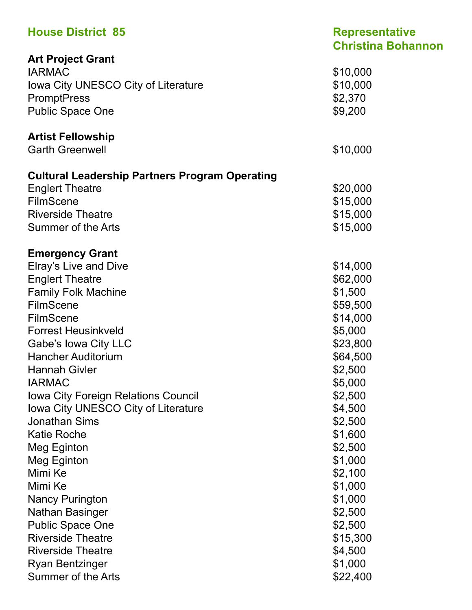| <b>House District 85</b>                              | <b>Representative</b><br><b>Christina Bohannon</b> |
|-------------------------------------------------------|----------------------------------------------------|
| <b>Art Project Grant</b>                              |                                                    |
| <b>IARMAC</b>                                         | \$10,000                                           |
| Iowa City UNESCO City of Literature                   | \$10,000                                           |
| <b>PromptPress</b>                                    | \$2,370                                            |
| <b>Public Space One</b>                               | \$9,200                                            |
| <b>Artist Fellowship</b>                              |                                                    |
| <b>Garth Greenwell</b>                                | \$10,000                                           |
| <b>Cultural Leadership Partners Program Operating</b> |                                                    |
| <b>Englert Theatre</b>                                | \$20,000                                           |
| <b>FilmScene</b>                                      | \$15,000                                           |
| <b>Riverside Theatre</b>                              | \$15,000                                           |
| Summer of the Arts                                    | \$15,000                                           |
| <b>Emergency Grant</b>                                |                                                    |
| Elray's Live and Dive                                 | \$14,000                                           |
| <b>Englert Theatre</b>                                | \$62,000                                           |
| <b>Family Folk Machine</b>                            | \$1,500                                            |
| <b>FilmScene</b>                                      | \$59,500                                           |
| <b>FilmScene</b>                                      | \$14,000                                           |
| <b>Forrest Heusinkveld</b>                            | \$5,000                                            |
| Gabe's lowa City LLC                                  | \$23,800                                           |
| <b>Hancher Auditorium</b>                             | \$64,500                                           |
| <b>Hannah Givler</b>                                  | \$2,500                                            |
| <b>IARMAC</b>                                         | \$5,000                                            |
| <b>Iowa City Foreign Relations Council</b>            | \$2,500                                            |
| Iowa City UNESCO City of Literature                   | \$4,500                                            |
| <b>Jonathan Sims</b>                                  | \$2,500                                            |
| <b>Katie Roche</b>                                    | \$1,600                                            |
| Meg Eginton                                           | \$2,500                                            |
| Meg Eginton                                           | \$1,000                                            |
| Mimi Ke                                               | \$2,100                                            |
| Mimi Ke                                               | \$1,000                                            |
| <b>Nancy Purington</b>                                | \$1,000                                            |
| <b>Nathan Basinger</b>                                | \$2,500                                            |
| <b>Public Space One</b>                               | \$2,500                                            |
| <b>Riverside Theatre</b>                              | \$15,300                                           |
| <b>Riverside Theatre</b>                              | \$4,500                                            |
| <b>Ryan Bentzinger</b>                                | \$1,000                                            |
| Summer of the Arts                                    | \$22,400                                           |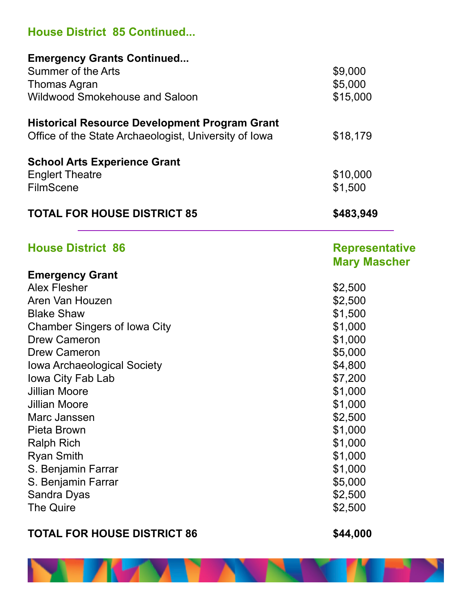### **House District 85 Continued...**

| <b>Emergency Grants Continued</b>                     |                       |
|-------------------------------------------------------|-----------------------|
| <b>Summer of the Arts</b>                             | \$9,000               |
| <b>Thomas Agran</b>                                   | \$5,000               |
| <b>Wildwood Smokehouse and Saloon</b>                 | \$15,000              |
|                                                       |                       |
| <b>Historical Resource Development Program Grant</b>  |                       |
| Office of the State Archaeologist, University of Iowa | \$18,179              |
| <b>School Arts Experience Grant</b>                   |                       |
| <b>Englert Theatre</b>                                | \$10,000              |
| <b>FilmScene</b>                                      | \$1,500               |
| <b>TOTAL FOR HOUSE DISTRICT 85</b>                    | \$483,949             |
| <b>House District 86</b>                              | <b>Representative</b> |
|                                                       | <b>Mary Mascher</b>   |
| <b>Emergency Grant</b>                                |                       |
| <b>Alex Flesher</b>                                   | \$2,500               |
| Aren Van Houzen                                       | \$2,500               |
| <b>Blake Shaw</b>                                     | \$1,500               |
| <b>Chamber Singers of Iowa City</b>                   | \$1,000               |
| <b>Drew Cameron</b>                                   | \$1,000               |
| <b>Drew Cameron</b>                                   | \$5,000               |
| <b>Iowa Archaeological Society</b>                    | \$4,800               |
| Iowa City Fab Lab                                     | \$7,200               |
| <b>Jillian Moore</b>                                  | \$1,000               |
| <b>Jillian Moore</b>                                  | \$1,000               |
| Marc Janssen                                          | \$2,500               |
| Pieta Brown                                           | \$1,000               |
| <b>Ralph Rich</b>                                     | \$1,000               |
| <b>Ryan Smith</b>                                     | \$1,000               |
| S. Benjamin Farrar                                    | \$1,000               |
| S. Benjamin Farrar                                    | \$5,000               |
| Sandra Dyas                                           | \$2,500               |
| The Quire                                             | \$2,500               |
|                                                       |                       |

### **TOTAL FOR HOUSE DISTRICT 86 \$44,000**

u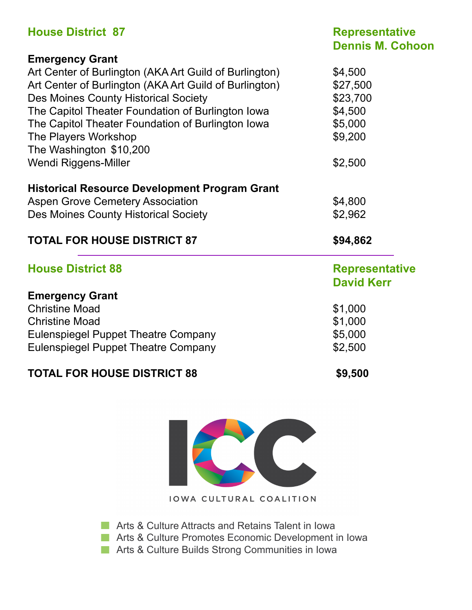| <b>House District 87</b>                               | <b>Representative</b><br><b>Dennis M. Cohoon</b> |  |
|--------------------------------------------------------|--------------------------------------------------|--|
| <b>Emergency Grant</b>                                 |                                                  |  |
| Art Center of Burlington (AKA Art Guild of Burlington) | \$4,500                                          |  |
| Art Center of Burlington (AKA Art Guild of Burlington) | \$27,500                                         |  |
| Des Moines County Historical Society                   | \$23,700                                         |  |
| The Capitol Theater Foundation of Burlington Iowa      | \$4,500                                          |  |
| The Capitol Theater Foundation of Burlington Iowa      | \$5,000                                          |  |
| The Players Workshop                                   | \$9,200                                          |  |
| The Washington \$10,200                                |                                                  |  |
| Wendi Riggens-Miller                                   | \$2,500                                          |  |
| <b>Historical Resource Development Program Grant</b>   |                                                  |  |
| <b>Aspen Grove Cemetery Association</b>                | \$4,800                                          |  |
| <b>Des Moines County Historical Society</b>            | \$2,962                                          |  |
| <b>TOTAL FOR HOUSE DISTRICT 87</b>                     | \$94,862                                         |  |
| <b>House District 88</b>                               | <b>Representative</b>                            |  |
|                                                        | <b>David Kerr</b>                                |  |
| <b>Emergency Grant</b>                                 |                                                  |  |
| <b>Christine Moad</b>                                  | \$1,000                                          |  |
| <b>Christine Moad</b>                                  | \$1,000                                          |  |
| <b>Eulenspiegel Puppet Theatre Company</b>             | \$5,000                                          |  |
| <b>Eulenspiegel Puppet Theatre Company</b>             | \$2,500                                          |  |
| <b>TOTAL FOR HOUSE DISTRICT 88</b>                     | \$9,500                                          |  |



**Arts & Culture Attracts and Retains Talent in Iowa** 

**Arts & Culture Promotes Economic Development in Iowa** 

**Arts & Culture Builds Strong Communities in Iowa**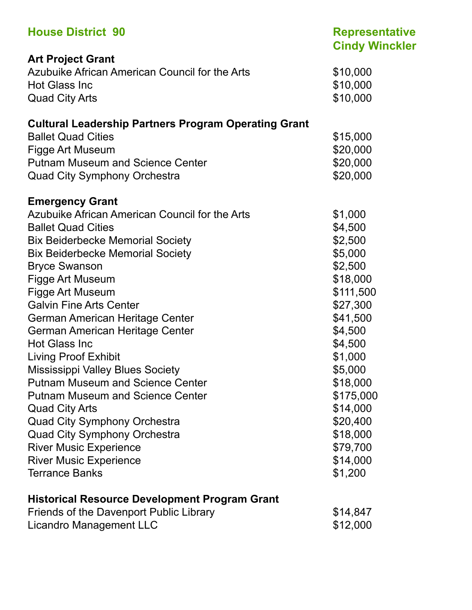| <b>House District 90</b>                                    | <b>Representative</b><br><b>Cindy Winckler</b> |
|-------------------------------------------------------------|------------------------------------------------|
| <b>Art Project Grant</b>                                    |                                                |
| Azubuike African American Council for the Arts              | \$10,000                                       |
| <b>Hot Glass Inc</b>                                        | \$10,000                                       |
| <b>Quad City Arts</b>                                       | \$10,000                                       |
| <b>Cultural Leadership Partners Program Operating Grant</b> |                                                |
| <b>Ballet Quad Cities</b>                                   | \$15,000                                       |
| Figge Art Museum                                            | \$20,000                                       |
| <b>Putnam Museum and Science Center</b>                     | \$20,000                                       |
| <b>Quad City Symphony Orchestra</b>                         | \$20,000                                       |
| <b>Emergency Grant</b>                                      |                                                |
| Azubuike African American Council for the Arts              | \$1,000                                        |
| <b>Ballet Quad Cities</b>                                   | \$4,500                                        |
| <b>Bix Beiderbecke Memorial Society</b>                     | \$2,500                                        |
| <b>Bix Beiderbecke Memorial Society</b>                     | \$5,000                                        |
| <b>Bryce Swanson</b>                                        | \$2,500                                        |
| Figge Art Museum                                            | \$18,000                                       |
| Figge Art Museum                                            | \$111,500                                      |
| <b>Galvin Fine Arts Center</b>                              | \$27,300                                       |
| German American Heritage Center                             | \$41,500                                       |
| German American Heritage Center                             | \$4,500                                        |
| <b>Hot Glass Inc</b>                                        | \$4,500                                        |
| <b>Living Proof Exhibit</b>                                 | \$1,000                                        |
| <b>Mississippi Valley Blues Society</b>                     | \$5,000                                        |
| <b>Putnam Museum and Science Center</b>                     | \$18,000                                       |
| <b>Putnam Museum and Science Center</b>                     | \$175,000                                      |
| <b>Quad City Arts</b>                                       | \$14,000                                       |
| <b>Quad City Symphony Orchestra</b>                         | \$20,400                                       |
| <b>Quad City Symphony Orchestra</b>                         | \$18,000                                       |
| <b>River Music Experience</b>                               | \$79,700                                       |
| <b>River Music Experience</b>                               | \$14,000                                       |
| <b>Terrance Banks</b>                                       | \$1,200                                        |
| <b>Historical Resource Development Program Grant</b>        |                                                |
| Friends of the Davenport Public Library                     | \$14,847                                       |
| <b>Licandro Management LLC</b>                              | \$12,000                                       |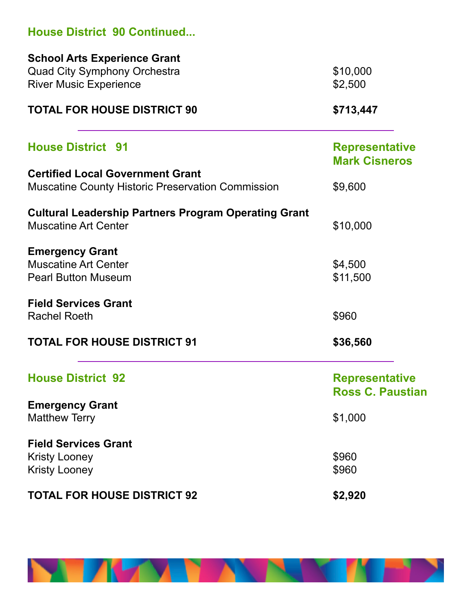| <b>House District 90 Continued</b>                                                                          |                                                  |
|-------------------------------------------------------------------------------------------------------------|--------------------------------------------------|
| <b>School Arts Experience Grant</b><br><b>Quad City Symphony Orchestra</b><br><b>River Music Experience</b> | \$10,000<br>\$2,500                              |
| <b>TOTAL FOR HOUSE DISTRICT 90</b>                                                                          | \$713,447                                        |
| <b>House District 91</b>                                                                                    | <b>Representative</b><br><b>Mark Cisneros</b>    |
| <b>Certified Local Government Grant</b><br><b>Muscatine County Historic Preservation Commission</b>         | \$9,600                                          |
| <b>Cultural Leadership Partners Program Operating Grant</b><br><b>Muscatine Art Center</b>                  | \$10,000                                         |
| <b>Emergency Grant</b><br><b>Muscatine Art Center</b><br><b>Pearl Button Museum</b>                         | \$4,500<br>\$11,500                              |
| <b>Field Services Grant</b><br><b>Rachel Roeth</b>                                                          | \$960                                            |
| <b>TOTAL FOR HOUSE DISTRICT 91</b>                                                                          | \$36,560                                         |
| <b>House District 92</b>                                                                                    | <b>Representative</b><br><b>Ross C. Paustian</b> |
| <b>Emergency Grant</b><br><b>Matthew Terry</b>                                                              | \$1,000                                          |
| <b>Field Services Grant</b><br><b>Kristy Looney</b><br><b>Kristy Looney</b>                                 | \$960<br>\$960                                   |
| <b>TOTAL FOR HOUSE DISTRICT 92</b>                                                                          | \$2,920                                          |

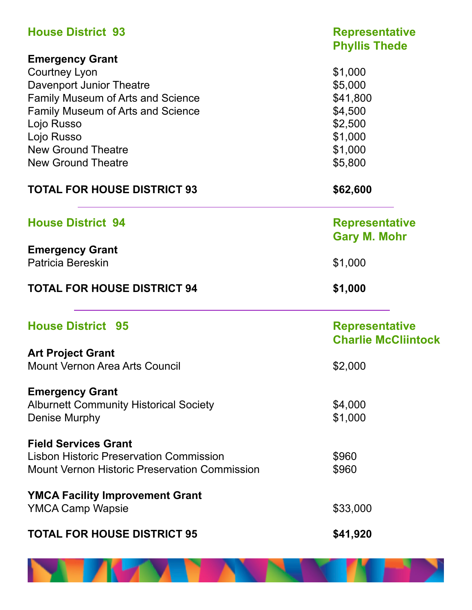| <b>House District 93</b>                                                                                                                                                                                                                          | <b>Representative</b><br><b>Phyllis Thede</b>                                         |
|---------------------------------------------------------------------------------------------------------------------------------------------------------------------------------------------------------------------------------------------------|---------------------------------------------------------------------------------------|
| <b>Emergency Grant</b><br><b>Courtney Lyon</b><br>Davenport Junior Theatre<br>Family Museum of Arts and Science<br><b>Family Museum of Arts and Science</b><br>Lojo Russo<br>Lojo Russo<br><b>New Ground Theatre</b><br><b>New Ground Theatre</b> | \$1,000<br>\$5,000<br>\$41,800<br>\$4,500<br>\$2,500<br>\$1,000<br>\$1,000<br>\$5,800 |
| <b>TOTAL FOR HOUSE DISTRICT 93</b>                                                                                                                                                                                                                | \$62,600                                                                              |
| <b>House District 94</b>                                                                                                                                                                                                                          | <b>Representative</b><br><b>Gary M. Mohr</b>                                          |
| <b>Emergency Grant</b><br>Patricia Bereskin                                                                                                                                                                                                       | \$1,000                                                                               |
| <b>TOTAL FOR HOUSE DISTRICT 94</b>                                                                                                                                                                                                                | \$1,000                                                                               |
| <b>House District 95</b>                                                                                                                                                                                                                          | <b>Representative</b><br><b>Charlie McCliintock</b>                                   |
| <b>Art Project Grant</b><br>Mount Vernon Area Arts Council                                                                                                                                                                                        | \$2,000                                                                               |
| <b>Emergency Grant</b><br><b>Alburnett Community Historical Society</b><br>Denise Murphy                                                                                                                                                          | \$4,000<br>\$1,000                                                                    |
| <b>Field Services Grant</b><br><b>Lisbon Historic Preservation Commission</b><br><b>Mount Vernon Historic Preservation Commission</b>                                                                                                             | \$960<br>\$960                                                                        |
| <b>YMCA Facility Improvement Grant</b><br><b>YMCA Camp Wapsie</b>                                                                                                                                                                                 | \$33,000                                                                              |
| <b>TOTAL FOR HOUSE DISTRICT 95</b>                                                                                                                                                                                                                | \$41,920                                                                              |

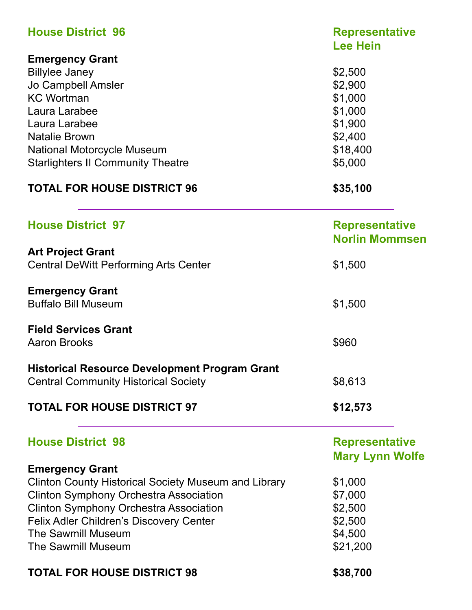| <b>House District 96</b>                                    | <b>Representative</b><br><b>Lee Hein</b> |
|-------------------------------------------------------------|------------------------------------------|
| <b>Emergency Grant</b>                                      |                                          |
| <b>Billylee Janey</b>                                       | \$2,500                                  |
| Jo Campbell Amsler                                          | \$2,900                                  |
| <b>KC Wortman</b>                                           | \$1,000                                  |
| Laura Larabee                                               | \$1,000                                  |
|                                                             |                                          |
| Laura Larabee                                               | \$1,900                                  |
| <b>Natalie Brown</b>                                        | \$2,400                                  |
| <b>National Motorcycle Museum</b>                           | \$18,400                                 |
| <b>Starlighters II Community Theatre</b>                    | \$5,000                                  |
| <b>TOTAL FOR HOUSE DISTRICT 96</b>                          | \$35,100                                 |
| <b>House District 97</b>                                    | <b>Representative</b>                    |
|                                                             | <b>Norlin Mommsen</b>                    |
| <b>Art Project Grant</b>                                    |                                          |
| <b>Central DeWitt Performing Arts Center</b>                | \$1,500                                  |
| <b>Emergency Grant</b>                                      |                                          |
| <b>Buffalo Bill Museum</b>                                  | \$1,500                                  |
| <b>Field Services Grant</b>                                 |                                          |
| <b>Aaron Brooks</b>                                         | \$960                                    |
| <b>Historical Resource Development Program Grant</b>        |                                          |
| <b>Central Community Historical Society</b>                 | \$8,613                                  |
| <b>TOTAL FOR HOUSE DISTRICT 97</b>                          | \$12,573                                 |
| <b>House District 98</b>                                    | <b>Representative</b>                    |
|                                                             | <b>Mary Lynn Wolfe</b>                   |
| <b>Emergency Grant</b>                                      |                                          |
| <b>Clinton County Historical Society Museum and Library</b> | \$1,000                                  |
| <b>Clinton Symphony Orchestra Association</b>               | \$7,000                                  |
| <b>Clinton Symphony Orchestra Association</b>               | \$2,500                                  |
|                                                             |                                          |
| <b>Felix Adler Children's Discovery Center</b>              | \$2,500                                  |
| <b>The Sawmill Museum</b>                                   | \$4,500                                  |
| <b>The Sawmill Museum</b>                                   | \$21,200                                 |
| <b>TOTAL FOR HOUSE DISTRICT 98</b>                          | \$38,700                                 |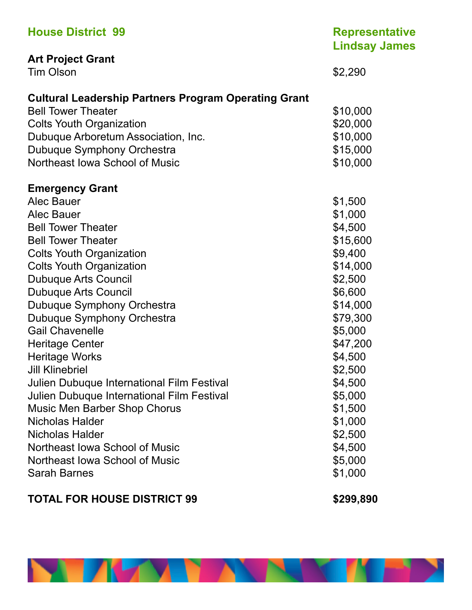| <b>House District 99</b>                                    | <b>Representative</b><br><b>Lindsay James</b> |
|-------------------------------------------------------------|-----------------------------------------------|
| <b>Art Project Grant</b>                                    |                                               |
| <b>Tim Olson</b>                                            | \$2,290                                       |
| <b>Cultural Leadership Partners Program Operating Grant</b> |                                               |
| <b>Bell Tower Theater</b>                                   | \$10,000                                      |
| <b>Colts Youth Organization</b>                             | \$20,000                                      |
| Dubuque Arboretum Association, Inc.                         | \$10,000                                      |
| Dubuque Symphony Orchestra                                  | \$15,000                                      |
| Northeast Iowa School of Music                              | \$10,000                                      |
| <b>Emergency Grant</b>                                      |                                               |
| <b>Alec Bauer</b>                                           | \$1,500                                       |
| <b>Alec Bauer</b>                                           | \$1,000                                       |
| <b>Bell Tower Theater</b>                                   | \$4,500                                       |
| <b>Bell Tower Theater</b>                                   | \$15,600                                      |
| <b>Colts Youth Organization</b>                             | \$9,400                                       |
| <b>Colts Youth Organization</b>                             | \$14,000                                      |
| <b>Dubuque Arts Council</b>                                 | \$2,500                                       |
| <b>Dubuque Arts Council</b>                                 | \$6,600                                       |
| Dubuque Symphony Orchestra                                  | \$14,000                                      |
| Dubuque Symphony Orchestra                                  | \$79,300                                      |
| <b>Gail Chavenelle</b>                                      | \$5,000                                       |
| <b>Heritage Center</b>                                      | \$47,200                                      |
| <b>Heritage Works</b>                                       | \$4,500                                       |
| <b>Jill Klinebriel</b>                                      | \$2,500                                       |
| Julien Dubuque International Film Festival                  | \$4,500                                       |
| Julien Dubuque International Film Festival                  | \$5,000                                       |
| <b>Music Men Barber Shop Chorus</b>                         | \$1,500                                       |
| <b>Nicholas Halder</b>                                      | \$1,000                                       |
| <b>Nicholas Halder</b>                                      | \$2,500                                       |
| Northeast Iowa School of Music                              | \$4,500                                       |
| Northeast Iowa School of Music                              | \$5,000                                       |
| <b>Sarah Barnes</b>                                         | \$1,000                                       |

### TOTAL FOR HOUSE DISTRICT 99 **\$299,890**